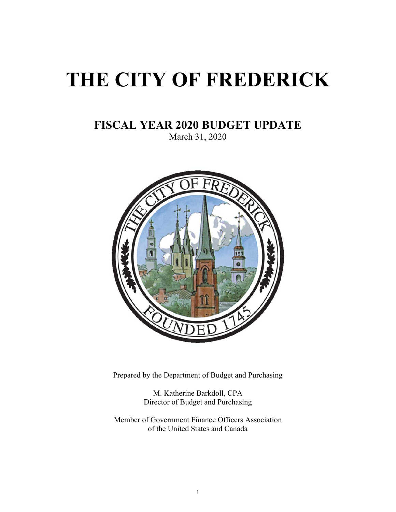# **THE CITY OF FREDERICK**

# **FISCAL YEAR 2020 BUDGET UPDATE**

March 31, 2020



Prepared by the Department of Budget and Purchasing

M. Katherine Barkdoll, CPA Director of Budget and Purchasing

Member of Government Finance Officers Association of the United States and Canada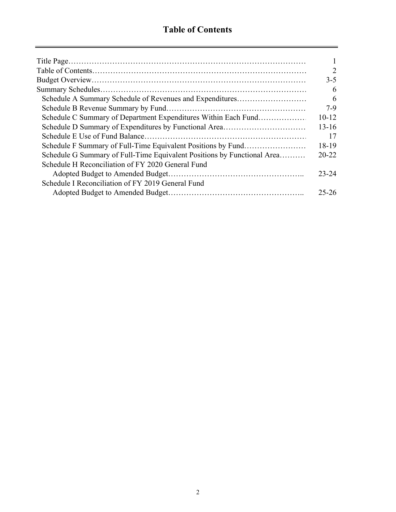$\equiv$ 

|                                                                         | 1              |
|-------------------------------------------------------------------------|----------------|
|                                                                         | $\overline{2}$ |
|                                                                         | $3-5$          |
|                                                                         | 6              |
| Schedule A Summary Schedule of Revenues and Expenditures                | 6              |
|                                                                         | $7-9$          |
| Schedule C Summary of Department Expenditures Within Each Fund          | $10-12$        |
|                                                                         | $13 - 16$      |
|                                                                         | 17             |
|                                                                         | 18-19          |
| Schedule G Summary of Full-Time Equivalent Positions by Functional Area | $20 - 22$      |
| Schedule H Reconciliation of FY 2020 General Fund                       |                |
|                                                                         | $23 - 24$      |
| Schedule I Reconciliation of FY 2019 General Fund                       |                |
|                                                                         | $25 - 26$      |
|                                                                         |                |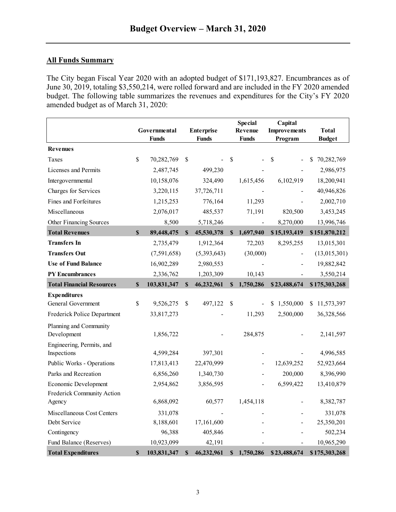## **All Funds Summary**

The City began Fiscal Year 2020 with an adopted budget of \$171,193,827. Encumbrances as of June 30, 2019, totaling \$3,550,214, were rolled forward and are included in the FY 2020 amended budget. The following table summarizes the revenues and expenditures for the City's FY 2020 amended budget as of March 31, 2020:

|                                            |                           | Governmental<br><b>Funds</b> |          | <b>Enterprise</b><br><b>Funds</b> | <b>Special</b><br>Revenue<br><b>Funds</b> | Capital<br><b>Improvements</b><br>Program | <b>Total</b><br><b>Budget</b> |
|--------------------------------------------|---------------------------|------------------------------|----------|-----------------------------------|-------------------------------------------|-------------------------------------------|-------------------------------|
| <b>Revenues</b>                            |                           |                              |          |                                   |                                           |                                           |                               |
| Taxes                                      | \$                        | 70,282,769                   | \$       |                                   | \$                                        | \$                                        | \$<br>70,282,769              |
| Licenses and Permits                       |                           | 2,487,745                    |          | 499,230                           |                                           |                                           | 2,986,975                     |
| Intergovernmental                          |                           | 10,158,076                   |          | 324,490                           | 1,615,456                                 | 6,102,919                                 | 18,200,941                    |
| Charges for Services                       |                           | 3,220,115                    |          | 37,726,711                        |                                           |                                           | 40,946,826                    |
| Fines and Forfeitures                      |                           | 1,215,253                    |          | 776,164                           | 11,293                                    |                                           | 2,002,710                     |
| Miscellaneous                              |                           | 2,076,017                    |          | 485,537                           | 71,191                                    | 820,500                                   | 3,453,245                     |
| Other Financing Sources                    |                           | 8,500                        |          | 5,718,246                         | $\blacksquare$                            | 8,270,000                                 | 13,996,746                    |
| <b>Total Revenues</b>                      | $\mathbf S$               | 89,448,475                   | <b>S</b> | 45,530,378                        | \$<br>1,697,940                           | \$15,193,419                              | \$151,870,212                 |
| <b>Transfers In</b>                        |                           | 2,735,479                    |          | 1,912,364                         | 72,203                                    | 8,295,255                                 | 13,015,301                    |
| <b>Transfers Out</b>                       |                           | (7,591,658)                  |          | (5,393,643)                       | (30,000)                                  |                                           | (13,015,301)                  |
| <b>Use of Fund Balance</b>                 |                           | 16,902,289                   |          | 2,980,553                         |                                           |                                           | 19,882,842                    |
| <b>PY Encumbrances</b>                     |                           | 2,336,762                    |          | 1,203,309                         | 10,143                                    |                                           | 3,550,214                     |
| <b>Total Financial Resources</b>           | $\boldsymbol{\mathsf{S}}$ | 103,831,347                  | \$       | 46,232,961                        | \$<br>1,750,286                           | \$23,488,674                              | \$175,303,268                 |
| <b>Expenditures</b>                        |                           |                              |          |                                   |                                           |                                           |                               |
| General Government                         | \$                        | 9,526,275                    | \$       | 497,122                           | \$                                        | 1,550,000<br>S.                           | 11,573,397<br>\$.             |
| Frederick Police Department                |                           | 33,817,273                   |          |                                   | 11,293                                    | 2,500,000                                 | 36,328,566                    |
| Planning and Community                     |                           |                              |          |                                   |                                           |                                           |                               |
| Development                                |                           | 1,856,722                    |          |                                   | 284,875                                   |                                           | 2,141,597                     |
| Engineering, Permits, and                  |                           |                              |          |                                   |                                           |                                           |                               |
| Inspections                                |                           | 4,599,284                    |          | 397,301                           |                                           |                                           | 4,996,585                     |
| Public Works - Operations                  |                           | 17,813,413                   |          | 22,470,999                        |                                           | 12,639,252                                | 52,923,664                    |
| Parks and Recreation                       |                           | 6,856,260                    |          | 1,340,730                         |                                           | 200,000                                   | 8,396,990                     |
| Economic Development                       |                           | 2,954,862                    |          | 3,856,595                         |                                           | 6,599,422                                 | 13,410,879                    |
| Frederick Community Action<br>Agency       |                           | 6,868,092                    |          | 60,577                            | 1,454,118                                 |                                           | 8,382,787                     |
|                                            |                           |                              |          |                                   |                                           |                                           |                               |
| Miscellaneous Cost Centers<br>Debt Service |                           | 331,078<br>8,188,601         |          | 17,161,600                        |                                           |                                           | 331,078<br>25,350,201         |
| Contingency                                |                           | 96,388                       |          | 405,846                           |                                           |                                           | 502,234                       |
| Fund Balance (Reserves)                    |                           | 10,923,099                   |          | 42,191                            |                                           |                                           | 10,965,290                    |
| <b>Total Expenditures</b>                  | \$                        | 103,831,347                  | \$       | 46,232,961                        | \$<br>1,750,286                           | \$23,488,674                              | \$175,303,268                 |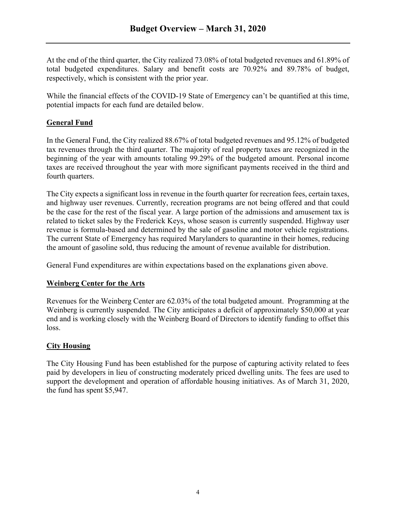At the end of the third quarter, the City realized 73.08% of total budgeted revenues and 61.89% of total budgeted expenditures. Salary and benefit costs are 70.92% and 89.78% of budget, respectively, which is consistent with the prior year.

While the financial effects of the COVID-19 State of Emergency can't be quantified at this time, potential impacts for each fund are detailed below.

## **General Fund**

In the General Fund, the City realized 88.67% of total budgeted revenues and 95.12% of budgeted tax revenues through the third quarter. The majority of real property taxes are recognized in the beginning of the year with amounts totaling 99.29% of the budgeted amount. Personal income taxes are received throughout the year with more significant payments received in the third and fourth quarters.

The City expects a significant loss in revenue in the fourth quarter for recreation fees, certain taxes, and highway user revenues. Currently, recreation programs are not being offered and that could be the case for the rest of the fiscal year. A large portion of the admissions and amusement tax is related to ticket sales by the Frederick Keys, whose season is currently suspended. Highway user revenue is formula-based and determined by the sale of gasoline and motor vehicle registrations. The current State of Emergency has required Marylanders to quarantine in their homes, reducing the amount of gasoline sold, thus reducing the amount of revenue available for distribution.

General Fund expenditures are within expectations based on the explanations given above.

## **Weinberg Center for the Arts**

Revenues for the Weinberg Center are 62.03% of the total budgeted amount. Programming at the Weinberg is currently suspended. The City anticipates a deficit of approximately \$50,000 at year end and is working closely with the Weinberg Board of Directors to identify funding to offset this loss.

## **City Housing**

The City Housing Fund has been established for the purpose of capturing activity related to fees paid by developers in lieu of constructing moderately priced dwelling units. The fees are used to support the development and operation of affordable housing initiatives. As of March 31, 2020, the fund has spent \$5,947.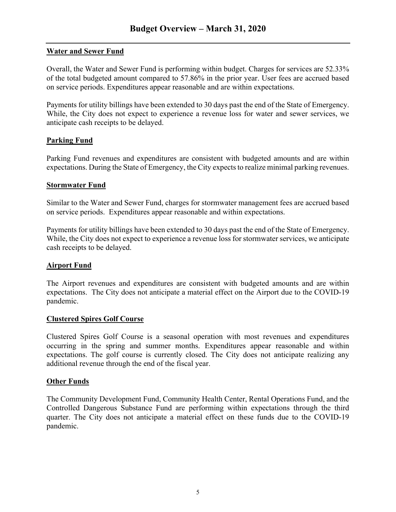## **Water and Sewer Fund**

Overall, the Water and Sewer Fund is performing within budget. Charges for services are 52.33% of the total budgeted amount compared to 57.86% in the prior year. User fees are accrued based on service periods. Expenditures appear reasonable and are within expectations.

Payments for utility billings have been extended to 30 days past the end of the State of Emergency. While, the City does not expect to experience a revenue loss for water and sewer services, we anticipate cash receipts to be delayed.

## **Parking Fund**

Parking Fund revenues and expenditures are consistent with budgeted amounts and are within expectations. During the State of Emergency, the City expects to realize minimal parking revenues.

## **Stormwater Fund**

Similar to the Water and Sewer Fund, charges for stormwater management fees are accrued based on service periods. Expenditures appear reasonable and within expectations.

Payments for utility billings have been extended to 30 days past the end of the State of Emergency. While, the City does not expect to experience a revenue loss for stormwater services, we anticipate cash receipts to be delayed.

## **Airport Fund**

The Airport revenues and expenditures are consistent with budgeted amounts and are within expectations. The City does not anticipate a material effect on the Airport due to the COVID-19 pandemic.

## **Clustered Spires Golf Course**

Clustered Spires Golf Course is a seasonal operation with most revenues and expenditures occurring in the spring and summer months. Expenditures appear reasonable and within expectations. The golf course is currently closed. The City does not anticipate realizing any additional revenue through the end of the fiscal year.

## **Other Funds**

The Community Development Fund, Community Health Center, Rental Operations Fund, and the Controlled Dangerous Substance Fund are performing within expectations through the third quarter. The City does not anticipate a material effect on these funds due to the COVID-19 pandemic.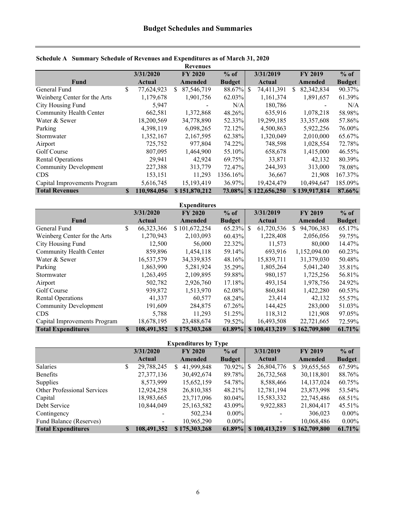|                              |                   |    | <b>Revenues</b> |               |   |               |   |                |               |
|------------------------------|-------------------|----|-----------------|---------------|---|---------------|---|----------------|---------------|
|                              | 3/31/2020         |    | <b>FY 2020</b>  | $%$ of        |   | 3/31/2019     |   | <b>FY 2019</b> | $%$ of        |
| Fund                         | Actual            |    | Amended         | <b>Budget</b> |   | Actual        |   | <b>Amended</b> | <b>Budget</b> |
| General Fund                 | \$<br>77,624,923  | S. | 87,546,719      | 88.67%        | S | 74,411,391    | S | 82,342,834     | 90.37%        |
| Weinberg Center for the Arts | 1,179,678         |    | 1,901,756       | 62.03%        |   | 1,161,374     |   | 1,891,657      | 61.39%        |
| City Housing Fund            | 5,947             |    |                 | N/A           |   | 180,786       |   |                | N/A           |
| Community Health Center      | 662,581           |    | 1,372,868       | 48.26%        |   | 635,916       |   | 1,078,218      | 58.98%        |
| Water & Sewer                | 18,200,569        |    | 34,778,890      | 52.33%        |   | 19,299,185    |   | 33, 357, 608   | 57.86%        |
| Parking                      | 4,398,119         |    | 6,098,265       | 72.12%        |   | 4,500,863     |   | 5,922,256      | 76.00%        |
| Stormwater                   | 1,352,167         |    | 2,167,595       | 62.38%        |   | 1,320,049     |   | 2,010,000      | 65.67%        |
| Airport                      | 725,752           |    | 977,804         | 74.22%        |   | 748,598       |   | 1,028,554      | 72.78%        |
| Golf Course                  | 807,095           |    | 1,464,900       | 55.10%        |   | 658,678       |   | 1,415,000      | 46.55%        |
| <b>Rental Operations</b>     | 29.941            |    | 42,924          | 69.75%        |   | 33,871        |   | 42,132         | 80.39%        |
| <b>Community Development</b> | 227,388           |    | 313,779         | 72.47%        |   | 244,393       |   | 313,000        | 78.08%        |
| <b>CDS</b>                   | 153,151           |    | 11,293          | 1356.16%      |   | 36,667        |   | 21,908         | 167.37%       |
| Capital Improvements Program | 5,616,745         |    | 15, 193, 419    | 36.97%        |   | 19,424,479    |   | 10,494,647     | 185.09%       |
| <b>Total Revenues</b>        | \$<br>110,984,056 |    | \$151,870,212   | 73.08%        |   | \$122,656,250 |   | \$139,917,814  | 87.66%        |

#### **Schedule A Summary Schedule of Revenues and Expenditures as of March 31, 2020**

|                              |    |             | <b>Expenditures</b> |               |                            |                 |               |
|------------------------------|----|-------------|---------------------|---------------|----------------------------|-----------------|---------------|
|                              |    | 3/31/2020   | <b>FY 2020</b>      | $%$ of        | 3/31/2019                  | <b>FY 2019</b>  | $%$ of        |
| Fund                         |    | Actual      | <b>Amended</b>      | <b>Budget</b> | Actual                     | Amended         | <b>Budget</b> |
| General Fund                 | \$ | 66,323,366  | \$101,672,254       | 65.23%        | 61,720,536<br><sup>S</sup> | 94,706,383<br>S | 65.17%        |
| Weinberg Center for the Arts |    | 1,270,943   | 2,103,093           | 60.43%        | 1,228,408                  | 2,056,056       | 59.75%        |
| City Housing Fund            |    | 12,500      | 56,000              | 22.32%        | 11,573                     | 80,000          | 14.47%        |
| Community Health Center      |    | 859,896     | 1,454,118           | 59.14%        | 693,916                    | 1,152,094.00    | 60.23%        |
| Water & Sewer                |    | 16,537,579  | 34, 339, 835        | 48.16%        | 15,839,711                 | 31,379,030      | 50.48%        |
| Parking                      |    | 1,863,990   | 5,281,924           | 35.29%        | 1,805,264                  | 5,041,240       | 35.81%        |
| Stormwater                   |    | 1,263,495   | 2,109,895           | 59.88%        | 980,157                    | 1,725,256       | 56.81%        |
| Airport                      |    | 502,782     | 2,926,760           | 17.18%        | 493,154                    | 1,978,756       | 24.92%        |
| Golf Course                  |    | 939,872     | 1,513,970           | 62.08%        | 860.841                    | 1,422,280       | 60.53%        |
| <b>Rental Operations</b>     |    | 41,337      | 60,577              | 68.24%        | 23,414                     | 42,132          | 55.57%        |
| <b>Community Development</b> |    | 191,609     | 284,875             | 67.26%        | 144,425                    | 283,000         | 51.03%        |
| <b>CDS</b>                   |    | 5,788       | 11,293              | 51.25%        | 118,312                    | 121,908         | 97.05%        |
| Capital Improvements Program |    | 18,678,195  | 23,488,674          | 79.52%        | 16,493,508                 | 22,721,665      | 72.59%        |
| <b>Total Expenditures</b>    | S  | 108,491,352 | \$175,303,268       | 61.89%        | \$100,413,219              | \$162,709,800   | 61.71%        |

| <b>Expenditures by Type</b>        |    |                          |   |                |               |  |                          |          |                |               |  |  |  |
|------------------------------------|----|--------------------------|---|----------------|---------------|--|--------------------------|----------|----------------|---------------|--|--|--|
|                                    |    | 3/31/2020                |   | <b>FY 2020</b> | $%$ of        |  | 3/31/2019                |          | <b>FY 2019</b> | $%$ of        |  |  |  |
|                                    |    | Actual                   |   | Amended        | <b>Budget</b> |  | Actual                   |          | Amended        | <b>Budget</b> |  |  |  |
| Salaries                           | \$ | 29,788,245               | S | 41,999,848     |               |  | 26,804,776               | <b>S</b> | 39,655,565     | 67.59%        |  |  |  |
| Benefits                           |    | 27, 377, 136             |   | 30,492,674     | 89.78%        |  | 26,732,568               |          | 30,118,801     | 88.76%        |  |  |  |
| Supplies                           |    | 8,573,999                |   | 15,652,159     | 54.78%        |  | 8,588,466                |          | 14, 137, 024   | 60.75%        |  |  |  |
| <b>Other Professional Services</b> |    | 12,924,258               |   | 26,810,385     | 48.21%        |  | 12,781,194               |          | 23,873,998     | 53.54%        |  |  |  |
| Capital                            |    | 18,983,665               |   | 23,717,096     | 80.04%        |  | 15,583,332               |          | 22,745,486     | 68.51%        |  |  |  |
| Debt Service                       |    | 10,844,049               |   | 25,163,582     | 43.09%        |  | 9,922,883                |          | 21,804,417     | 45.51%        |  |  |  |
| Contingency                        |    |                          |   | 502,234        | $0.00\%$      |  | $\overline{\phantom{a}}$ |          | 306,023        | $0.00\%$      |  |  |  |
| Fund Balance (Reserves)            |    | $\overline{\phantom{a}}$ |   | 10,965,290     | $0.00\%$      |  | $\blacksquare$           |          | 10,068,486     | $0.00\%$      |  |  |  |
| <b>Total Expenditures</b>          |    | 108,491,352              |   | \$175,303,268  | 61.89%        |  | \$100,413,219            |          | \$162,709,800  | 61.71%        |  |  |  |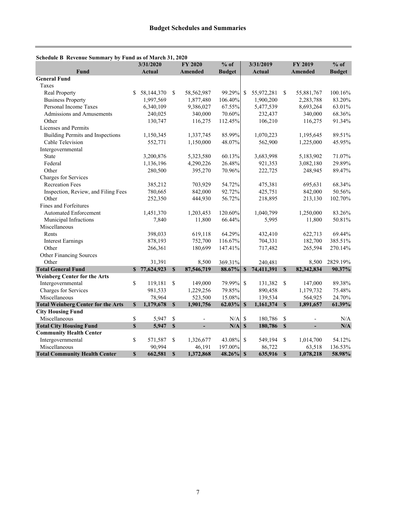|                                           |              | 3/31/2020     |              | $%$ of<br><b>FY 2020</b> |               |               | 3/31/2019  |               | <b>FY 2019</b> | $%$ of        |
|-------------------------------------------|--------------|---------------|--------------|--------------------------|---------------|---------------|------------|---------------|----------------|---------------|
| <b>Fund</b>                               |              | <b>Actual</b> |              | <b>Amended</b>           | <b>Budget</b> |               | Actual     |               | Amended        | <b>Budget</b> |
| <b>General Fund</b>                       |              |               |              |                          |               |               |            |               |                |               |
| Taxes                                     |              |               |              |                          |               |               |            |               |                |               |
| <b>Real Property</b>                      | S.           | 58,144,370    | \$           | 58,562,987               | 99.29%        | <sup>\$</sup> | 55,972,281 | <sup>\$</sup> | 55,881,767     | 100.16%       |
| <b>Business Property</b>                  |              | 1,997,569     |              | 1,877,480                | 106.40%       |               | 1,900,200  |               | 2,283,788      | 83.20%        |
| Personal Income Taxes                     |              | 6,340,109     |              | 9,386,027                | 67.55%        |               | 5,477,539  |               | 8,693,264      | 63.01%        |
| Admissions and Amusements                 |              | 240,025       |              | 340,000                  | 70.60%        |               | 232,437    |               | 340,000        | 68.36%        |
| Other                                     |              | 130,747       |              | 116,275                  | 112.45%       |               | 106,210    |               | 116,275        | 91.34%        |
| Licenses and Permits                      |              |               |              |                          |               |               |            |               |                |               |
| <b>Building Permits and Inspections</b>   |              | 1,150,345     |              | 1,337,745                | 85.99%        |               | 1,070,223  |               | 1,195,645      | 89.51%        |
| Cable Television                          |              | 552,771       |              | 1,150,000                | 48.07%        |               | 562,900    |               | 1,225,000      | 45.95%        |
| Intergovernmental                         |              |               |              |                          |               |               |            |               |                |               |
| <b>State</b>                              |              | 3,200,876     |              | 5,323,580                | 60.13%        |               | 3,683,998  |               | 5,183,902      | 71.07%        |
| Federal                                   |              | 1,136,196     |              | 4,290,226                | 26.48%        |               | 921,353    |               | 3,082,180      | 29.89%        |
| Other                                     |              | 280,500       |              | 395,270                  | 70.96%        |               | 222,725    |               | 248,945        | 89.47%        |
| Charges for Services                      |              |               |              |                          |               |               |            |               |                |               |
| <b>Recreation Fees</b>                    |              | 385,212       |              | 703,929                  | 54.72%        |               | 475,381    |               | 695,631        | 68.34%        |
| Inspection, Review, and Filing Fees       |              | 780,665       |              | 842,000                  | 92.72%        |               | 425,751    |               | 842,000        | 50.56%        |
| Other                                     |              | 252,350       |              | 444,930                  | 56.72%        |               | 218,895    |               | 213,130        | 102.70%       |
| Fines and Forfeitures                     |              |               |              |                          |               |               |            |               |                |               |
| <b>Automated Enforcement</b>              |              | 1,451,370     |              | 1,203,453                | 120.60%       |               | 1,040,799  |               | 1,250,000      | 83.26%        |
| Municipal Infractions                     |              | 7,840         |              | 11,800                   | 66.44%        |               | 5,995      |               | 11,800         | 50.81%        |
| Miscellaneous                             |              |               |              |                          |               |               |            |               |                |               |
| Rents                                     |              | 398,033       |              | 619,118                  | 64.29%        |               | 432,410    |               | 622,713        | 69.44%        |
| <b>Interest Earnings</b>                  |              | 878,193       |              | 752,700                  | 116.67%       |               | 704,331    |               | 182,700        | 385.51%       |
| Other                                     |              | 266,361       |              | 180,699                  | 147.41%       |               | 717,482    |               | 265,594        | 270.14%       |
| Other Financing Sources                   |              |               |              |                          |               |               |            |               |                |               |
| Other                                     |              | 31,391        |              | 8,500                    | 369.31%       |               | 240,481    |               | 8,500          | 2829.19%      |
| <b>Total General Fund</b>                 | $\mathbf{s}$ | 77,624,923    | $\mathbf S$  | 87,546,719               | 88.67%        | $\mathbf S$   | 74,411,391 | $\mathbf{s}$  | 82,342,834     | 90.37%        |
| <b>Weinberg Center for the Arts</b>       |              |               |              |                          |               |               |            |               |                |               |
| Intergovernmental                         | \$           | 119,181       | \$           | 149,000                  | 79.99%        | $\mathbf S$   | 131,382    | -S            | 147,000        | 89.38%        |
| Charges for Services                      |              | 981,533       |              | 1,229,256                | 79.85%        |               | 890,458    |               | 1,179,732      | 75.48%        |
| Miscellaneous                             |              | 78,964        |              | 523,500                  | 15.08%        |               | 139,534    |               | 564,925        | 24.70%        |
| <b>Total Weinberg Center for the Arts</b> | $\mathbf S$  | 1,179,678     | $\mathbf S$  | 1,901,756                | 62.03%        | $\mathbf{s}$  | 1,161,374  | $\mathbf S$   | 1,891,657      | 61.39%        |
| <b>City Housing Fund</b>                  |              |               |              |                          |               |               |            |               |                |               |
| Miscellaneous                             | \$           | 5,947         | \$           |                          | N/A           | $\mathbb{S}$  | 180,786    | \$            |                | N/A           |
| <b>Total City Housing Fund</b>            | \$           | 5,947         | $\mathbf{s}$ | ÷.                       | N/A           | $\mathbf S$   | 180,786    | $\mathbf{s}$  | $\overline{a}$ | N/A           |
| <b>Community Health Center</b>            |              |               |              |                          |               |               |            |               |                |               |
| Intergovernmental                         | \$           | 571,587       | \$           | 1,326,677                | 43.08%        | $\mathbf S$   | 549,194    | S             | 1,014,700      | 54.12%        |
| Miscellaneous                             |              | 90,994        |              | 46,191                   | 197.00%       |               | 86,722     |               | 63,518         | 136.53%       |
| <b>Total Community Health Center</b>      | \$           | 662,581       | $\mathbf S$  | 1,372,868                | $48.26\%$ \$  |               | 635,916    | $\mathbf S$   | 1,078,218      | 58.98%        |

#### **Schedule B Revenue Summary by Fund as of March 31, 2020**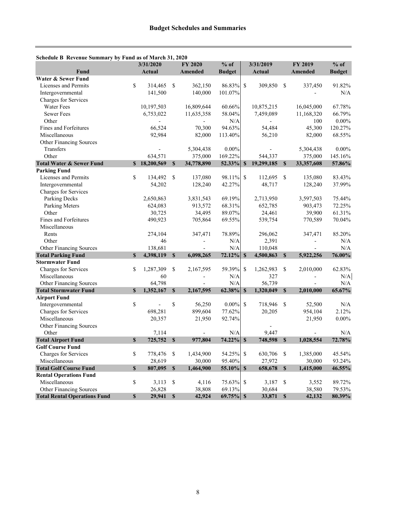| Scheduit D'Aevenue Summary by Fund as 01 March 31, 2020        |              | 3/31/2020                |               | <b>FY 2020</b> | $%$ of<br>3/31/2019 |              |            |              | FY 2019    | $%$ of        |
|----------------------------------------------------------------|--------------|--------------------------|---------------|----------------|---------------------|--------------|------------|--------------|------------|---------------|
| Fund                                                           |              | <b>Actual</b>            |               | <b>Amended</b> | <b>Budget</b>       |              | Actual     |              | Amended    | <b>Budget</b> |
| Water & Sewer Fund                                             |              |                          |               |                |                     |              |            |              |            |               |
| Licenses and Permits                                           | \$           | 314,465                  | \$            | 362,150        | 86.83%              | \$           | 309,850    | -\$          | 337,450    | 91.82%        |
| Intergovernmental                                              |              | 141,500                  |               | 140,000        | 101.07%             |              |            |              |            | N/A           |
| Charges for Services                                           |              |                          |               |                |                     |              |            |              |            |               |
| <b>Water Fees</b>                                              |              | 10,197,503               |               | 16,809,644     | 60.66%              |              | 10,875,215 |              | 16,045,000 | 67.78%        |
| <b>Sewer Fees</b>                                              |              | 6,753,022                |               | 11,635,358     | 58.04%              |              | 7,459,089  |              | 11,168,320 | 66.79%        |
| Other                                                          |              |                          |               |                | N/A                 |              |            |              | 100        | $0.00\%$      |
| Fines and Forfeitures                                          |              | 66,524                   |               | 70,300         | 94.63%              |              | 54,484     |              | 45,300     | 120.27%       |
| Miscellaneous                                                  |              | 92,984                   |               | 82,000         | 113.40%             |              | 56,210     |              | 82,000     | 68.55%        |
| Other Financing Sources                                        |              |                          |               |                |                     |              |            |              |            |               |
| Transfers                                                      |              |                          |               | 5,304,438      | $0.00\%$            |              |            |              | 5,304,438  | $0.00\%$      |
| Other                                                          |              | 634,571                  |               | 375,000        | 169.22%             |              | 544,337    |              | 375,000    | 145.16%       |
| <b>Total Water &amp; Sewer Fund</b>                            |              | \$18,200,569             | S             | 34,778,890     | 52.33%              | $\mathbf{s}$ | 19,299,185 | $\mathbf{s}$ | 33,357,608 | 57.86%        |
| <b>Parking Fund</b>                                            |              |                          |               |                |                     |              |            |              |            |               |
| Licenses and Permits                                           | \$           | 134,492                  | \$            | 137,080        | 98.11%              | $\mathbb{S}$ | 112,695    | $\mathbf S$  | 135,080    | 83.43%        |
| Intergovernmental                                              |              | 54,202                   |               | 128,240        | 42.27%              |              | 48,717     |              | 128,240    | 37.99%        |
| Charges for Services                                           |              |                          |               |                |                     |              |            |              |            |               |
| Parking Decks                                                  |              | 2,650,863                |               | 3,831,543      | 69.19%              |              | 2,713,950  |              | 3,597,503  | 75.44%        |
| Parking Meters                                                 |              | 624,083                  |               | 913,572        | 68.31%              |              | 652,785    |              | 903,473    | 72.25%        |
| Other                                                          |              | 30,725                   |               | 34,495         | 89.07%              |              | 24,461     |              | 39,900     | 61.31%        |
| Fines and Forfeitures                                          |              | 490,923                  |               | 705,864        | 69.55%              |              | 539,754    |              | 770,589    | 70.04%        |
| Miscellaneous                                                  |              |                          |               |                |                     |              |            |              |            |               |
| Rents                                                          |              | 274,104                  |               | 347,471        | 78.89%              |              | 296,062    |              | 347,471    | 85.20%        |
| Other                                                          |              | 46                       |               |                | N/A                 |              | 2,391      |              |            | N/A           |
| Other Financing Sources                                        |              | 138,681                  |               |                | N/A                 |              | 110,048    |              |            | N/A           |
| <b>Total Parking Fund</b>                                      | $\mathbf{s}$ | 4,398,119                | $\mathbf{s}$  | 6,098,265      | 72.12%              | $\mathbf{s}$ | 4,500,863  | $\mathbf{s}$ | 5,922,256  | 76.00%        |
| <b>Stormwater Fund</b>                                         |              |                          |               |                |                     |              |            |              |            |               |
| Charges for Services                                           | \$           | 1,287,309                | \$            | 2,167,595      | 59.39%              | \$           | 1,262,983  | \$           | 2,010,000  | 62.83%        |
| Miscellaneous                                                  |              | 60                       |               |                | N/A                 |              | 327        |              |            | N/A           |
| Other Financing Sources                                        |              | 64,798                   |               |                | N/A                 |              | 56,739     |              |            | N/A           |
| <b>Total Stormwater Fund</b>                                   | $\mathbf S$  | 1,352,167                | $\mathbf S$   | 2,167,595      | 62.38%              | $\mathbf{s}$ | 1,320,049  | $\mathbf{s}$ | 2,010,000  | 65.67%        |
| <b>Airport Fund</b>                                            |              |                          |               |                |                     |              |            |              |            |               |
| Intergovernmental                                              | \$           | $\overline{\phantom{m}}$ | \$            | 56,250         | $0.00\%$            | $\mathbf S$  | 718,946    | \$           | 52,500     | N/A           |
| Charges for Services                                           |              | 698,281                  |               | 899,604        | 77.62%              |              | 20,205     |              | 954,104    | 2.12%         |
| Miscellaneous                                                  |              | 20,357                   |               | 21,950         | 92.74%              |              |            |              | 21,950     | $0.00\%$      |
| Other Financing Sources                                        |              |                          |               |                |                     |              |            |              |            |               |
| Other                                                          |              | 7,114                    |               |                | N/A                 |              | 9,447      |              |            | N/A           |
| <b>Total Airport Fund</b>                                      | $\mathbf S$  | 725,752                  | $\mathbf S$   | 977,804        | 74.22%              | $\mathbf S$  | 748,598    | $\mathbf{s}$ | 1,028,554  | 72.78%        |
| <b>Golf Course Fund</b>                                        |              |                          |               |                |                     |              |            |              |            |               |
| Charges for Services                                           | \$           | 778,476                  | \$            | 1,434,900      | 54.25%              | $\mathbb{S}$ | 630,706    | $\mathbb{S}$ | 1,385,000  | 45.54%        |
| Miscellaneous                                                  |              | 28,619                   |               | 30,000         | 95.40%              |              | 27,972     |              | 30,000     | 93.24%        |
| <b>Total Golf Course Fund</b>                                  | $\mathbf S$  | 807,095                  | $\mathbf S$   | 1,464,900      | 55.10%              | $\mathbf S$  | 658,678    | $\mathbf{s}$ | 1,415,000  | 46.55%        |
| <b>Rental Operations Fund</b>                                  |              |                          |               |                |                     |              |            |              |            |               |
| Miscellaneous                                                  | \$           | 3,113                    | \$            | 4,116          | 75.63% \$           |              | 3,187      | \$           | 3,552      | 89.72%        |
| Other Financing Sources<br><b>Total Rental Operations Fund</b> |              | 26,828                   |               | 38,808         | 69.13%              |              | 30,684     |              | 38,580     | 79.53%        |
|                                                                | \$           | 29,941                   | $\mathbf{\$}$ | 42,924         | $69.75\%$ \$        |              | 33,871     | $\mathbf{s}$ | 42,132     | 80.39%        |

#### **Schedule B Revenue Summary by Fund as of March 31, 2020**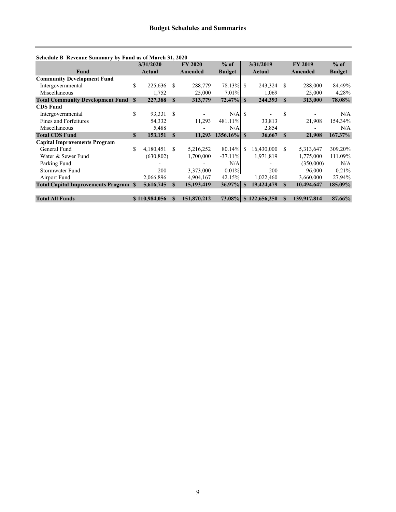| Schedule B Revenue Summary by Fund as of March 31, 2020 |              |               |              |                |               |              |                      |              |                |               |
|---------------------------------------------------------|--------------|---------------|--------------|----------------|---------------|--------------|----------------------|--------------|----------------|---------------|
|                                                         |              | 3/31/2020     |              | <b>FY 2020</b> | $%$ of        |              | 3/31/2019            |              | <b>FY 2019</b> | $%$ of        |
| Fund                                                    |              | Actual        |              | <b>Amended</b> | <b>Budget</b> |              | Actual               |              | Amended        | <b>Budget</b> |
| <b>Community Development Fund</b>                       |              |               |              |                |               |              |                      |              |                |               |
| Intergovernmental                                       | \$           | 225,636       | -S           | 288,779        | 78.13% \$     |              | 243,324              | -S           | 288,000        | 84.49%        |
| Miscellaneous                                           |              | 1,752         |              | 25,000         | 7.01%         |              | 1,069                |              | 25,000         | 4.28%         |
| <b>Total Community Development Fund</b>                 | <b>S</b>     | 227,388       | $\mathbf{s}$ | 313,779        | $72.47\%$     | $\mathbf{s}$ | 244,393              | $\mathbf{s}$ | 313,000        | 78.08%        |
| <b>CDS</b> Fund                                         |              |               |              |                |               |              |                      |              |                |               |
| Intergovernmental                                       | \$           | 93,331        | -S           |                | $N/A$ \$      |              |                      | \$           |                | N/A           |
| Fines and Forfeitures                                   |              | 54,332        |              | 11,293         | 481.11%       |              | 33,813               |              | 21,908         | 154.34%       |
| Miscellaneous                                           |              | 5,488         |              |                | N/A           |              | 2,854                |              |                | N/A           |
| <b>Total CDS Fund</b>                                   | $\mathbf{s}$ | 153,151       | $\mathbf{s}$ | 11.293         |               |              | 36,667               | $\mathbf{s}$ | 21,908         | 167.37%       |
| <b>Capital Improvements Program</b>                     |              |               |              |                |               |              |                      |              |                |               |
| General Fund                                            | \$           | 4,180,451     | \$.          | 5,216,252      | $80.14\%$ \$  |              | 16.430,000           | -S           | 5,313,647      | 309.20%       |
| Water & Sewer Fund                                      |              | (630, 802)    |              | 1,700,000      | $-37.11%$     |              | 1,971,819            |              | 1,775,000      | 111.09%       |
| Parking Fund                                            |              |               |              |                | N/A           |              |                      |              | (350,000)      | N/A           |
| Stormwater Fund                                         |              | 200           |              | 3,373,000      | $0.01\%$      |              | 200                  |              | 96,000         | 0.21%         |
| Airport Fund                                            |              | 2,066,896     |              | 4,904,167      | 42.15%        |              | 1,022,460            |              | 3,660,000      | 27.94%        |
| <b>Total Capital Improvements Program S</b>             |              | 5,616,745     | <sup>S</sup> | 15,193,419     |               |              | 19,424,479           | $\mathbf{s}$ | 10,494,647     | 185.09%       |
|                                                         |              |               |              |                |               |              |                      |              |                |               |
| <b>Total All Funds</b>                                  |              | \$110,984,056 | <b>S</b>     | 151,870,212    |               |              | 73.08% \$122,656,250 | <b>S</b>     | 139,917,814    | 87.66%        |

#### **Schedule B Revenue Summary by Fund as of March 31, 2020**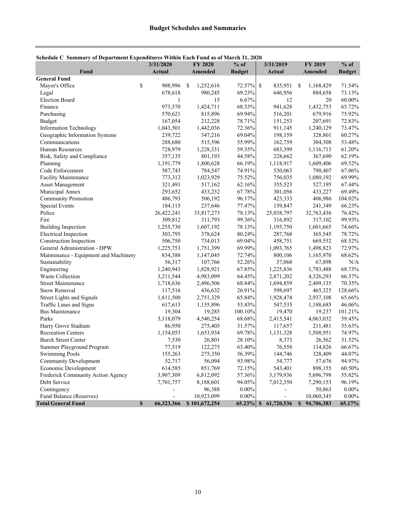| $\mathbf{S}$ check $\mathbf{C}$ becoming to be equivalent $\mathbf{B}$ | 3/31/2020                |     | <b>FY 2020</b> | $%$ of        |              | 3/31/2019                |               | FY 2019      | $%$ of        |
|------------------------------------------------------------------------|--------------------------|-----|----------------|---------------|--------------|--------------------------|---------------|--------------|---------------|
| Fund<br><b>General Fund</b>                                            | <b>Actual</b>            |     | Amended        | <b>Budget</b> |              | <b>Actual</b>            |               | Amended      | <b>Budget</b> |
| Mayor's Office                                                         | \$<br>908,996            | -\$ | 1,252,616      | 72.57%        | $\mathbb{S}$ | 835,951                  | <sup>\$</sup> | 1,168,429    | 71.54%        |
| Legal                                                                  | 678,618                  |     | 980,245        | 69.23%        |              | 646,956                  |               | 884,658      | 73.13%        |
| <b>Election Board</b>                                                  | 1                        |     | 15             | 6.67%         |              | 12                       |               | 20           | 60.00%        |
| Finance                                                                | 973,570                  |     | 1,424,711      | 68.33%        |              | 941,628                  |               | 1,432,753    | 65.72%        |
| Purchasing                                                             | 570,621                  |     | 815,896        | 69.94%        |              | 516,201                  |               | 679,916      | 75.92%        |
| Budget                                                                 | 167,054                  |     | 212,228        | 78.71%        |              | 151,253                  |               | 207,691      | 72.83%        |
| <b>Information Technology</b>                                          | 1,043,501                |     | 1,442,036      | 72.36%        |              | 911,145                  |               | 1,240,129    | 73.47%        |
| Geographic Information Systems                                         | 239,722                  |     | 347,216        | 69.04%        |              | 198,159                  |               | 328,801      | 60.27%        |
| Communications                                                         | 288,680                  |     | 515,596        | 55.99%        |              | 162,759                  |               | 304,308      | 53.48%        |
| Human Resources                                                        | 728,979                  |     | 1,228,331      | 59.35%        |              | 683,399                  |               | 1,116,713    | 61.20%        |
| Risk, Safety and Compliance                                            | 357,135                  |     | 801,193        | 44.58%        |              | 228,662                  |               | 367,690      | 62.19%        |
| Planning                                                               | 1,191,779                |     | 1,800,628      | 66.19%        |              | 1,118,917                |               | 1,609,406    | 69.52%        |
| Code Enforcement                                                       | 587,743                  |     | 784,547        | 74.91%        |              | 530,063                  |               | 790,407      | 67.06%        |
| Facility Maintenance                                                   | 773,312                  |     | 1,023,929      | 75.52%        |              | 756,035                  |               | 1,080,192    | 69.99%        |
| <b>Asset Management</b>                                                | 321,491                  |     | 517,162        | 62.16%        |              | 355,523                  |               | 527,195      | 67.44%        |
| Municipal Annex                                                        | 293,652                  |     | 433,232        | 67.78%        |              | 301,056                  |               | 433,227      | 69.49%        |
| <b>Community Promotion</b>                                             | 486,793                  |     | 506,192        | 96.17%        |              | 423,333                  |               | 406,986      | 104.02%       |
| Special Events                                                         | 184,115                  |     | 237,646        | 77.47%        |              | 159,847                  |               | 241,349      | 66.23%        |
| Police                                                                 | 26,422,241               |     | 33,817,273     | 78.13%        |              | 25,038,797               |               | 32,763,436   | 76.42%        |
| Fire                                                                   | 309,812                  |     | 311,793        | 99.36%        |              | 316,892                  |               | 317,102      | 99.93%        |
| <b>Building Inspection</b>                                             | 1,255,730                |     | 1,607,192      | 78.13%        |              | 1,195,750                |               | 1,601,665    | 74.66%        |
| <b>Electrical Inspection</b>                                           | 303,795                  |     | 378,624        | 80.24%        |              | 287,768                  |               | 365,545      | 78.72%        |
| Construction Inspection                                                | 506,750                  |     | 734,013        | 69.04%        |              | 458,751                  |               | 669,552      | 68.52%        |
| General Administration - DPW                                           | 1,225,753                |     | 1,751,399      | 69.99%        |              | 1,093,765                |               | 1,498,823    | 72.97%        |
| Maintenance - Equipment and Machinery                                  | 834,388                  |     | 1,147,045      | 72.74%        |              | 800,106                  |               | 1,165,970    | 68.62%        |
| Sustainability                                                         | 56,317                   |     | 107,766        | 52.26%        |              | 37,068                   |               | 67,898       | N/A           |
| Engineering                                                            | 1,240,943                |     | 1,828,921      | 67.85%        |              | 1,225,836                |               | 1,783,488    | 68.73%        |
| Waste Collection                                                       | 3,211,544                |     | 4,983,099      | 64.45%        |              | 2,871,202                |               | 4,326,293    | 66.37%        |
| <b>Street Maintenance</b>                                              | 1,718,636                |     | 2,496,506      | 68.84%        |              | 1,694,859                |               | 2,409,135    | 70.35%        |
| Snow Removal                                                           | 117,516                  |     | 436,632        | 26.91%        |              | 598,697                  |               | 465,325      | 128.66%       |
| Street Lights and Signals                                              | 1,811,500                |     | 2,751,329      | 65.84%        |              | 1,928,474                |               | 2,937,108    | 65.66%        |
| Traffic Lines and Signs                                                | 617,613                  |     | 1,155,896      | 53.43%        |              | 547,535                  |               | 1,188,685    | 46.06%        |
| <b>Bus Maintenance</b>                                                 | 19,304                   |     | 19,285         | 100.10%       |              | 19,470                   |               | 19,237       | 101.21%       |
| Parks                                                                  | 3,118,079                |     | 4,540,254      | 68.68%        |              | 2,415,541                |               | 4,063,032    | 59.45%        |
| Harry Grove Stadium                                                    | 86,950                   |     | 275,405        | 31.57%        |              | 117,657                  |               | 211,481      | 55.63%        |
| <b>Recreation Centers</b>                                              | 1,154,053                |     | 1,653,934      | 69.78%        |              | 1,131,328                |               | 1,508,951    | 74.97%        |
| <b>Burck Street Center</b>                                             | 7,530                    |     | 26,801         | 28.10%        |              | 8,373                    |               | 26,562       | 31.52%        |
| Summer Playground Program                                              | 77,519                   |     | 122,275        | 63.40%        |              | 76,558                   |               | 114,826      | 66.67%        |
| <b>Swimming Pools</b>                                                  | 155,263                  |     | 275,350        | 56.39%        |              | 144,746                  |               | 328,409      | 44.07%        |
| <b>Community Development</b>                                           | 52,717                   |     | 56,094         | 93.98%        |              | 54,777                   |               | 57,676       | 94.97%        |
| Economic Development                                                   | 614,585                  |     | 851,769        | 72.15%        |              | 543,401                  |               | 898,155      | 60.50%        |
| Frederick Community Action Agency                                      | 3,907,309                |     | 6,812,092      | 57.36%        |              | 3,179,936                |               | 5,696,798    | 55.82%        |
| Debt Service                                                           | 7,701,757                |     | 8,188,601      | 94.05%        |              | 7,012,350                |               | 7,290,153    | 96.19%        |
| Contingency                                                            |                          |     | 96,388         | $0.00\%$      |              |                          |               | 50,863       | $0.00\%$      |
| Fund Balance (Reserves)                                                | $\overline{\phantom{a}}$ |     | 10,923,099     | $0.00\%$      |              | $\overline{\phantom{a}}$ |               | 10,060,345   | $0.00\%$      |
| <b>Total General Fund</b>                                              | \$<br>66,323,366         |     | \$101,672,254  | $65.23\%$ \$  |              | 61,720,536               |               | \$94,706,383 | 65.17%        |

#### **Schedule C Summary of Department Expenditures Within Each Fund as of March 31, 2020**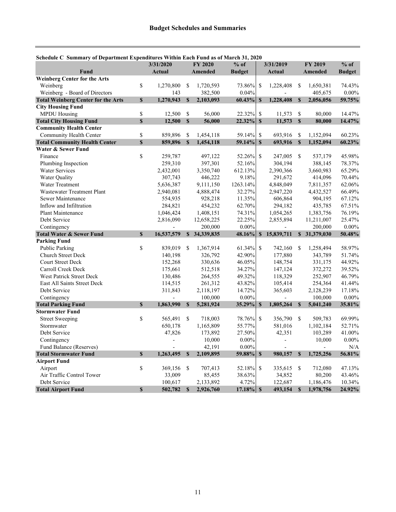|                                                    |             | 3/31/2020          |               | <b>FY 2020</b>       | $%$ of           |               | 3/31/2019          |               | <b>FY 2019</b>       | $%$ of        |
|----------------------------------------------------|-------------|--------------------|---------------|----------------------|------------------|---------------|--------------------|---------------|----------------------|---------------|
| Fund                                               |             | Actual             |               | <b>Amended</b>       | <b>Budget</b>    |               | <b>Actual</b>      |               | Amended              | <b>Budget</b> |
| <b>Weinberg Center for the Arts</b>                |             |                    |               |                      |                  |               |                    |               |                      |               |
| Weinberg                                           | \$          | 1,270,800          | <sup>\$</sup> | 1,720,593            | 73.86%           | <sup>\$</sup> | 1,228,408          | -S            | 1,650,381            | 74.43%        |
| Weinberg - Board of Directors                      |             | 143                |               | 382,500              | 0.04%            |               |                    |               | 405,675              | $0.00\%$      |
| <b>Total Weinberg Center for the Arts</b>          | $\mathbf S$ | 1,270,943          | $\mathbf S$   | 2,103,093            | 60.43%           | $\mathbf S$   | 1.228.408          | $\mathbf{s}$  | 2,056,056            | 59.75%        |
| <b>City Housing Fund</b>                           |             |                    |               |                      |                  |               |                    |               |                      |               |
| <b>MPDU Housing</b>                                | \$          | 12,500             | \$            | 56,000               | 22.32%           | \$            | 11,573             | \$            | 80,000               | 14.47%        |
| <b>Total City Housing Fund</b>                     | $\mathbf S$ | 12,500             | $\mathbf{\$}$ | 56,000               | 22.32%           | $\mathbf S$   | 11,573             | $\mathbf{s}$  | 80,000               | 14.47%        |
| <b>Community Health Center</b>                     |             |                    |               |                      |                  |               |                    |               |                      |               |
| Community Health Center                            | \$          | 859,896            | \$            | 1,454,118            | 59.14%           | \$            | 693,916            | <sup>\$</sup> | 1,152,094            | 60.23%        |
| <b>Total Community Health Center</b>               | $\mathbf S$ | 859,896            | $\mathbb{S}$  | 1,454,118            | 59.14%           | $\mathbf S$   | 693,916            | $\mathbf{s}$  | 1,152,094            | 60.23%        |
| Water & Sewer Fund                                 |             |                    |               |                      |                  |               |                    |               |                      |               |
| Finance                                            | \$          | 259,787            |               | 497,122              | 52.26%           | $\mathcal{S}$ | 247,005            | $\mathcal{S}$ | 537,179              | 45.98%        |
| Plumbing Inspection                                |             | 259,310            |               | 397,301              | 52.16%           |               | 304,194            |               | 388,145              | 78.37%        |
| <b>Water Services</b>                              |             | 2,432,001          |               | 3,350,740            | 612.13%          |               | 2,390,366          |               | 3,660,983            | 65.29%        |
| <b>Water Quality</b>                               |             | 307,743            |               | 446,222              | 9.18%            |               | 291,672            |               | 414,096              | 70.44%        |
| <b>Water Treatment</b>                             |             | 5,636,387          |               | 9,111,150            | 1263.14%         |               | 4,848,049          |               | 7,811,357            | 62.06%        |
| <b>Wastewater Treatment Plant</b>                  |             | 2,940,081          |               | 4,888,474            | 32.27%           |               | 2,947,220          |               | 4,432,527            | 66.49%        |
| Sewer Maintenance                                  |             | 554,935            |               | 928,218              | 11.35%           |               | 606,864            |               | 904,195              | 67.12%        |
| Inflow and Infiltration                            |             | 284,821            |               | 454,232              | 62.70%           |               | 294,182            |               | 435,785              | 67.51%        |
| Plant Maintenance                                  |             | 1,046,424          |               | 1,408,151            | 74.31%           |               | 1,054,265          |               | 1,383,756            | 76.19%        |
| Debt Service                                       |             | 2,816,090          |               | 12,658,225           | 22.25%           |               | 2,855,894          |               | 11,211,007           | 25.47%        |
| Contingency                                        |             |                    |               | 200,000              | $0.00\%$         |               |                    |               | 200,000              | $0.00\%$      |
| <b>Total Water &amp; Sewer Fund</b>                | $\mathbf S$ | 16,537,579         |               | \$34,339,835         | 48.16%           | $\mathbf{s}$  | 15,839,711         |               | \$31,379,030         | 50.48%        |
| <b>Parking Fund</b>                                | \$          |                    |               |                      |                  |               |                    |               |                      | 58.97%        |
| <b>Public Parking</b><br><b>Church Street Deck</b> |             | 839,019<br>140,198 | -S            | 1,367,914<br>326,792 | 61.34%<br>42.90% | \$            | 742,160<br>177,880 | <sup>\$</sup> | 1,258,494<br>343,789 | 51.74%        |
| <b>Court Street Deck</b>                           |             |                    |               |                      | 46.05%           |               |                    |               |                      | 44.92%        |
| Carroll Creek Deck                                 |             | 152,268<br>175,661 |               | 330,636<br>512,518   | 34.27%           |               | 148,754<br>147,124 |               | 331,175<br>372,272   | 39.52%        |
| <b>West Patrick Street Deck</b>                    |             | 130,486            |               | 264,555              | 49.32%           |               | 118,329            |               | 252,907              | 46.79%        |
| East All Saints Street Deck                        |             | 114,515            |               |                      | 43.82%           |               |                    |               | 254,364              | 41.44%        |
| Debt Service                                       |             | 311,843            |               | 261,312<br>2,118,197 | 14.72%           |               | 105,414<br>365,603 |               | 2,128,239            | 17.18%        |
| Contingency                                        |             |                    |               | 100,000              | $0.00\%$         |               |                    |               | 100,000              | $0.00\%$      |
| <b>Total Parking Fund</b>                          | S           | 1,863,990          | $\mathbf S$   | 5,281,924            | 35.29%           | $\mathbf{s}$  | 1,805,264          | $\mathbf{s}$  | 5,041,240            | 35.81%        |
| <b>Stormwater Fund</b>                             |             |                    |               |                      |                  |               |                    |               |                      |               |
| <b>Street Sweeping</b>                             | \$          | 565,491            | <sup>\$</sup> | 718,003              | 78.76%           | <sup>\$</sup> | 356,790            | <sup>\$</sup> | 509,783              | 69.99%        |
| Stormwater                                         |             | 650,178            |               | 1,165,809            | 55.77%           |               | 581,016            |               | 1,102,184            | 52.71%        |
| Debt Service                                       |             | 47,826             |               | 173,892              | 27.50%           |               | 42,351             |               | 103,289              | 41.00%        |
| Contingency                                        |             |                    |               | 10,000               | $0.00\%$         |               |                    |               | 10,000               | $0.00\%$      |
| Fund Balance (Reserves)                            |             |                    |               | 42,191               | $0.00\%$         |               |                    |               | $\overline{a}$       | N/A           |
| <b>Total Stormwater Fund</b>                       | $\mathbf S$ | 1,263,495          | $\mathbf S$   | 2,109,895            | 59.88%           | $\mathbf{s}$  | 980,157            | <sup>S</sup>  | 1,725,256            | 56.81%        |
| <b>Airport Fund</b>                                |             |                    |               |                      |                  |               |                    |               |                      |               |
| Airport                                            | \$          | 369,156            | \$            | 707,413              | 52.18%           | <sup>\$</sup> | 335,615            | <sup>\$</sup> | 712,080              | 47.13%        |
| Air Traffic Control Tower                          |             | 33,009             |               | 85,455               | 38.63%           |               | 34,852             |               | 80,200               | 43.46%        |
| Debt Service                                       |             | 100,617            |               | 2,133,892            | 4.72%            |               | 122,687            |               | 1,186,476            | 10.34%        |
|                                                    | $\mathbf S$ | 502,782            | $\mathbf S$   | 2,926,760            | $17.18\%$ \$     |               | 493,154            | $\mathbf S$   | 1,978,756            | 24.92%        |

## **Schedule C Summary of Department Expenditures Within Each Fund as of March 31, 2020**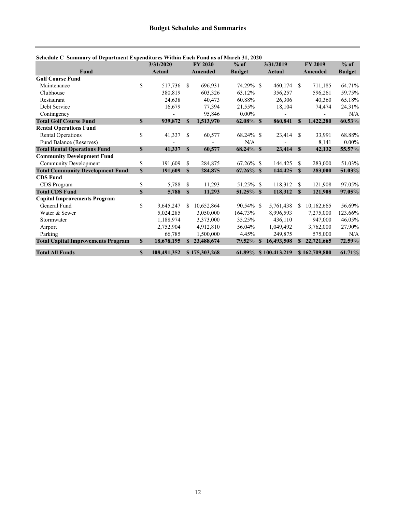|                                           |              | 3/31/2020     |               | <b>FY 2020</b> | $%$ of        |              | 3/31/2019     |               | <b>FY 2019</b> | $%$ of        |
|-------------------------------------------|--------------|---------------|---------------|----------------|---------------|--------------|---------------|---------------|----------------|---------------|
| <b>Fund</b>                               |              | <b>Actual</b> |               | Amended        | <b>Budget</b> |              | Actual        |               | Amended        | <b>Budget</b> |
| <b>Golf Course Fund</b>                   |              |               |               |                |               |              |               |               |                |               |
| Maintenance                               | \$           | 517.736       | <sup>\$</sup> | 696.931        | 74.29% \$     |              | 460.174 \$    |               | 711,185        | 64.71%        |
| Clubhouse                                 |              | 380,819       |               | 603,326        | 63.12%        |              | 356,257       |               | 596,261        | 59.75%        |
| Restaurant                                |              | 24,638        |               | 40,473         | 60.88%        |              | 26,306        |               | 40,360         | 65.18%        |
| Debt Service                              |              | 16,679        |               | 77,394         | 21.55%        |              | 18,104        |               | 74,474         | 24.31%        |
| Contingency                               |              |               |               | 95,846         | $0.00\%$      |              |               |               |                | N/A           |
| <b>Total Golf Course Fund</b>             | $\mathbf{s}$ | 939,872       | $\mathbf{s}$  | 1,513,970      | $62.08\%$ \$  |              | 860,841       | $\mathbf{s}$  | 1,422,280      | 60.53%        |
| <b>Rental Operations Fund</b>             |              |               |               |                |               |              |               |               |                |               |
| <b>Rental Operations</b>                  | \$           | 41,337        | S             | 60,577         | 68.24% \$     |              | 23,414        | <sup>\$</sup> | 33,991         | 68.88%        |
| Fund Balance (Reserves)                   |              |               |               |                | N/A           |              |               |               | 8,141          | $0.00\%$      |
| <b>Total Rental Operations Fund</b>       | $\mathbf S$  | 41,337        | $\mathbf S$   | 60,577         |               |              | 23,414        | $\mathbf{s}$  | 42,132         | 55.57%        |
| <b>Community Development Fund</b>         |              |               |               |                |               |              |               |               |                |               |
| <b>Community Development</b>              | \$           | 191,609       | \$            | 284,875        | $67.26\%$ \$  |              | 144,425       | -S            | 283,000        | 51.03%        |
| <b>Total Community Development Fund</b>   | $\mathbf S$  | 191,609       | S             | 284,875        |               |              | 144,425       | <b>S</b>      | 283,000        | 51.03%        |
| <b>CDS</b> Fund                           |              |               |               |                |               |              |               |               |                |               |
| CDS Program                               | \$           | 5,788         | \$            | 11,293         | 51.25% \$     |              | 118,312       | \$            | 121,908        | 97.05%        |
| <b>Total CDS Fund</b>                     | $\mathbf S$  | 5,788         | $\mathbf S$   | 11,293         |               |              | 118,312       | $\mathbf{s}$  | 121,908        | 97.05%        |
| <b>Capital Improvements Program</b>       |              |               |               |                |               |              |               |               |                |               |
| General Fund                              | \$           | 9,645,247     | S.            | 10,652,864     | $90.54\%$ \$  |              | 5,761,438     | -S            | 10,162,665     | 56.69%        |
| Water & Sewer                             |              | 5,024,285     |               | 3,050,000      | 164.73%       |              | 8,996,593     |               | 7,275,000      | 123.66%       |
| Stormwater                                |              | 1,188,974     |               | 3,373,000      | 35.25%        |              | 436,110       |               | 947,000        | 46.05%        |
| Airport                                   |              | 2,752,904     |               | 4,912,810      | 56.04%        |              | 1,049,492     |               | 3,762,000      | 27.90%        |
| Parking                                   |              | 66,785        |               | 1,500,000      | 4.45%         |              | 249,875       |               | 575,000        | N/A           |
| <b>Total Capital Improvements Program</b> | $\mathbb S$  | 18,678,195    | S.            | 23,488,674     | 79.52%        | <sup>S</sup> | 16,493,508    | $\mathbf{s}$  | 22,721,665     | 72.59%        |
| <b>Total All Funds</b>                    | $\mathbf S$  | 108,491,352   |               | \$175,303,268  | $61.89\%$     |              | \$100,413,219 |               | \$162,709,800  | 61.71%        |

#### **Schedule C Summary of Department Expenditures Within Each Fund as of March 31, 2020**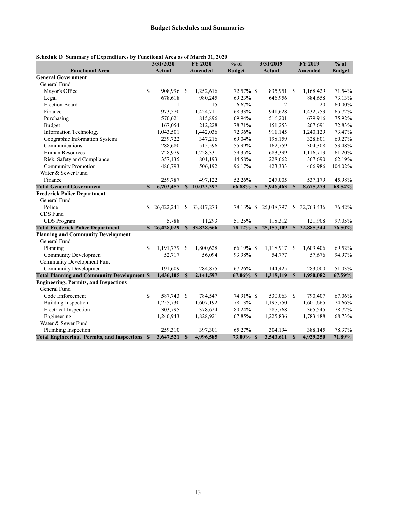| Schedule D Summary of Expenditures by Functional Area as of March 31, 2020 |               |               |              |            |               |               |               |              |                |               |
|----------------------------------------------------------------------------|---------------|---------------|--------------|------------|---------------|---------------|---------------|--------------|----------------|---------------|
|                                                                            |               | 3/31/2020     |              | FY 2020    | $%$ of        |               | 3/31/2019     |              | <b>FY 2019</b> | $%$ of        |
| <b>Functional Area</b>                                                     |               | <b>Actual</b> |              | Amended    | <b>Budget</b> |               | <b>Actual</b> |              | Amended        | <b>Budget</b> |
| <b>General Government</b>                                                  |               |               |              |            |               |               |               |              |                |               |
| General Fund                                                               |               |               |              |            |               |               |               |              |                |               |
| Mayor's Office                                                             | $\mathbf S$   | 908.996       | S            | 1,252,616  | 72.57% \$     |               | 835,951       | -S           | 1,168,429      | 71.54%        |
| Legal                                                                      |               | 678,618       |              | 980,245    | 69.23%        |               | 646,956       |              | 884,658        | 73.13%        |
| <b>Election Board</b>                                                      |               | 1             |              | 15         | 6.67%         |               | 12            |              | 20             | 60.00%        |
| Finance                                                                    |               | 973,570       |              | 1,424,711  | 68.33%        |               | 941,628       |              | 1,432,753      | 65.72%        |
| Purchasing                                                                 |               | 570,621       |              | 815,896    | 69.94%        |               | 516,201       |              | 679,916        | 75.92%        |
| <b>Budget</b>                                                              |               | 167,054       |              | 212,228    | 78.71%        |               | 151,253       |              | 207,691        | 72.83%        |
| <b>Information Technology</b>                                              |               | 1,043,501     |              | 1,442,036  | 72.36%        |               | 911,145       |              | 1,240,129      | 73.47%        |
| Geographic Information Systems                                             |               | 239,722       |              | 347,216    | 69.04%        |               | 198,159       |              | 328,801        | 60.27%        |
| Communications                                                             |               | 288,680       |              | 515,596    | 55.99%        |               | 162,759       |              | 304,308        | 53.48%        |
| <b>Human Resources</b>                                                     |               | 728,979       |              | 1,228,331  | 59.35%        |               | 683,399       |              | 1,116,713      | 61.20%        |
| Risk, Safety and Compliance                                                |               | 357,135       |              | 801,193    | 44.58%        |               | 228,662       |              | 367,690        | 62.19%        |
| <b>Community Promotion</b>                                                 |               | 486,793       |              | 506,192    | 96.17%        |               | 423,333       |              | 406,986        | 104.02%       |
| Water & Sewer Fund                                                         |               |               |              |            |               |               |               |              |                |               |
| Finance                                                                    |               | 259,787       |              | 497,122    | 52.26%        |               | 247,005       |              | 537,179        | 45.98%        |
| <b>Total General Government</b>                                            | $\mathbf{s}$  | 6,703,457     | $\mathbf{s}$ | 10,023,397 | 66.88%        | $\mathbf{s}$  | 5,946,463     | $\mathbf{s}$ | 8,675,273      | 68.54%        |
| <b>Frederick Police Department</b>                                         |               |               |              |            |               |               |               |              |                |               |
| General Fund                                                               |               |               |              |            |               |               |               |              |                |               |
| Police                                                                     | \$.           | 26,422,241    | \$           | 33,817,273 | 78.13%        |               | \$25,038,797  | \$           | 32,763,436     | 76.42%        |
| CDS Fund                                                                   |               |               |              |            |               |               |               |              |                |               |
| CDS Program                                                                |               | 5.788         |              | 11,293     | 51.25%        |               | 118,312       |              | 121,908        | 97.05%        |
| <b>Total Frederick Police Department</b>                                   |               | \$26,428,029  | $\mathbf S$  | 33,828,566 | 78.12%        | $\mathbf{s}$  | 25,157,109    | $\mathbf{s}$ | 32,885,344     | 76.50%        |
| <b>Planning and Community Development</b>                                  |               |               |              |            |               |               |               |              |                |               |
| General Fund                                                               |               |               |              |            |               |               |               |              |                |               |
| Planning                                                                   | <sup>\$</sup> | 1,191,779     | S            | 1,800,628  | 66.19%        | <sup>\$</sup> | 1,118,917     | -S           | 1,609,406      | 69.52%        |
| <b>Community Development</b>                                               |               | 52,717        |              | 56,094     | 93.98%        |               | 54,777        |              | 57,676         | 94.97%        |
| <b>Community Development Fund</b>                                          |               |               |              |            |               |               |               |              |                |               |
| <b>Community Development</b>                                               |               | 191,609       |              | 284,875    | 67.26%        |               | 144,425       |              | 283,000        | 51.03%        |
| <b>Total Planning and Community Development \$</b>                         |               | 1.436.105     | $\mathbf{s}$ | 2,141,597  | 67.06%        | $\mathbf{s}$  | 1,318,119     | $\mathbf{s}$ | 1,950,082      | 67.59%        |
| <b>Engineering, Permits, and Inspections</b>                               |               |               |              |            |               |               |               |              |                |               |
| General Fund                                                               |               |               |              |            |               |               |               |              |                |               |
| Code Enforcement                                                           | $\mathbb{S}$  | 587,743       | -S           | 784,547    | 74.91% \$     |               | 530,063 \$    |              | 790,407        | 67.06%        |
| <b>Building Inspection</b>                                                 |               | 1,255,730     |              | 1,607,192  | 78.13%        |               | 1,195,750     |              | 1,601,665      | 74.66%        |
| <b>Electrical Inspection</b>                                               |               | 303,795       |              | 378,624    | 80.24%        |               | 287,768       |              | 365,545        | 78.72%        |
| Engineering                                                                |               | 1,240,943     |              | 1,828,921  | 67.85%        |               | 1,225,836     |              | 1,783,488      | 68.73%        |
| Water & Sewer Fund                                                         |               |               |              |            |               |               |               |              |                |               |
| Plumbing Inspection                                                        |               | 259,310       |              | 397,301    | 65.27%        |               | 304,194       |              | 388,145        | 78.37%        |
| Total Engineering, Permits, and Inspections \$                             |               | 3,647,521     | <b>S</b>     | 4,996,585  | $73.00\%$ \$  |               | 3,543,611     | $\mathbf S$  | 4,929,250      | 71.89%        |

## **Schedule D Summary of Expenditures by Functional Area as of March 31, 2020**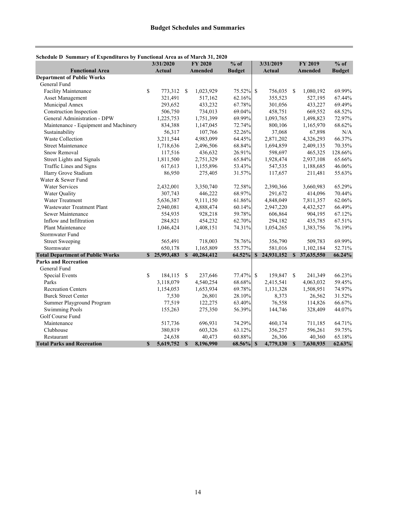|                                         | 3/31/2020       |               | <b>FY 2020</b> | $%$ of        | 3/31/2019           |              | <b>FY 2019</b> | $%$ of        |  |
|-----------------------------------------|-----------------|---------------|----------------|---------------|---------------------|--------------|----------------|---------------|--|
| <b>Functional Area</b>                  | Actual          |               | <b>Amended</b> | <b>Budget</b> | <b>Actual</b>       |              | <b>Amended</b> | <b>Budget</b> |  |
| <b>Department of Public Works</b>       |                 |               |                |               |                     |              |                |               |  |
| General Fund                            |                 |               |                |               |                     |              |                |               |  |
| <b>Facility Maintenance</b>             | \$<br>773,312   | $\mathcal{S}$ | 1,023,929      | 75.52% \$     | 756,035 \$          |              | 1,080,192      | 69.99%        |  |
| Asset Management                        | 321,491         |               | 517,162        | 62.16%        | 355,523             |              | 527,195        | 67.44%        |  |
| Municipal Annex                         | 293,652         |               | 433,232        | 67.78%        | 301,056             |              | 433,227        | 69.49%        |  |
| Construction Inspection                 | 506,750         |               | 734,013        | 69.04%        | 458,751             |              | 669,552        | 68.52%        |  |
| General Administration - DPW            | 1,225,753       |               | 1,751,399      | 69.99%        | 1,093,765           |              | 1,498,823      | 72.97%        |  |
| Maintenance - Equipment and Machinery   | 834,388         |               | 1,147,045      | 72.74%        | 800,106             |              | 1,165,970      | $68.62\%$     |  |
| Sustainability                          | 56,317          |               | 107,766        | 52.26%        | 37,068              |              | 67,898         | N/A           |  |
| <b>Waste Collection</b>                 | 3,211,544       |               | 4,983,099      | 64.45%        | 2,871,202           |              | 4,326,293      | 66.37%        |  |
| <b>Street Maintenance</b>               | 1,718,636       |               | 2,496,506      | 68.84%        | 1,694,859           |              | 2,409,135      | 70.35%        |  |
| Snow Removal                            | 117,516         |               | 436,632        | 26.91%        | 598,697             |              | 465,325        | 128.66%       |  |
| <b>Street Lights and Signals</b>        | 1,811,500       |               | 2,751,329      | 65.84%        | 1,928,474           |              | 2,937,108      | 65.66%        |  |
| Traffic Lines and Signs                 | 617,613         |               | 1,155,896      | 53.43%        | 547,535             |              | 1,188,685      | 46.06%        |  |
| Harry Grove Stadium                     | 86,950          |               | 275,405        | 31.57%        | 117,657             |              | 211,481        | 55.63%        |  |
| Water & Sewer Fund                      |                 |               |                |               |                     |              |                |               |  |
| <b>Water Services</b>                   | 2,432,001       |               | 3,350,740      | 72.58%        | 2,390,366           |              | 3,660,983      | 65.29%        |  |
| Water Quality                           | 307,743         |               | 446,222        | 68.97%        | 291,672             |              | 414,096        | 70.44%        |  |
| Water Treatment                         | 5,636,387       |               | 9,111,150      | 61.86%        | 4,848,049           |              | 7,811,357      | 62.06%        |  |
| <b>Wastewater Treatment Plant</b>       | 2,940,081       |               | 4,888,474      | 60.14%        | 2,947,220           |              | 4,432,527      | 66.49%        |  |
| Sewer Maintenance                       | 554,935         |               | 928,218        | 59.78%        | 606,864             |              | 904,195        | 67.12%        |  |
| Inflow and Infiltration                 | 284,821         |               | 454,232        | 62.70%        | 294,182             |              | 435,785        | 67.51%        |  |
| Plant Maintenance                       | 1,046,424       |               | 1,408,151      | 74.31%        | 1,054,265           |              | 1,383,756      | 76.19%        |  |
| Stormwater Fund                         |                 |               |                |               |                     |              |                |               |  |
| <b>Street Sweeping</b>                  | 565,491         |               | 718,003        | 78.76%        | 356,790             |              | 509,783        | 69.99%        |  |
| Stormwater                              | 650,178         |               | 1,165,809      | 55.77%        | 581,016             |              | 1,102,184      | 52.71%        |  |
| <b>Total Department of Public Works</b> | \$25,993,483    | $\mathbf{s}$  | 40,284,412     |               | 64.52% \$24,931,152 | $\mathbf{s}$ | 37,635,550     | 66.24%        |  |
| <b>Parks and Recreation</b>             |                 |               |                |               |                     |              |                |               |  |
| General Fund                            |                 |               |                |               |                     |              |                |               |  |
| Special Events                          | \$<br>184,115   | $\mathbb{S}$  | 237,646        | 77.47% \$     | 159,847 \$          |              | 241,349        | 66.23%        |  |
| Parks                                   | 3,118,079       |               | 4,540,254      | 68.68%        | 2,415,541           |              | 4,063,032      | 59.45%        |  |
| <b>Recreation Centers</b>               | 1,154,053       |               | 1,653,934      | 69.78%        | 1,131,328           |              | 1,508,951      | 74.97%        |  |
| <b>Burck Street Center</b>              | 7,530           |               | 26,801         | 28.10%        | 8,373               |              | 26,562         | 31.52%        |  |
| Summer Playground Program               | 77,519          |               | 122,275        | 63.40%        | 76,558              |              | 114,826        | 66.67%        |  |
| <b>Swimming Pools</b>                   | 155,263         |               | 275,350        | 56.39%        | 144,746             |              | 328,409        | 44.07%        |  |
| Golf Course Fund                        |                 |               |                |               |                     |              |                |               |  |
| Maintenance                             | 517,736         |               | 696,931        | 74.29%        | 460,174             |              | 711,185        | 64.71%        |  |
| Clubhouse                               | 380,819         |               | 603,326        | 63.12%        | 356,257             |              | 596,261        | 59.75%        |  |
| Restaurant                              | 24,638          |               | 40,473         | 60.88%        | 26,306              |              | 40,360         | 65.18%        |  |
| <b>Total Parks and Recreation</b>       | \$<br>5,619,752 | \$            | 8,196,990      | $68.56\%$ \$  | 4,779,130           | $\mathbf{s}$ | 7,630,935      | 62.63%        |  |

#### **Schedule D Summary of Expenditures by Functional Area as of March 31, 2020**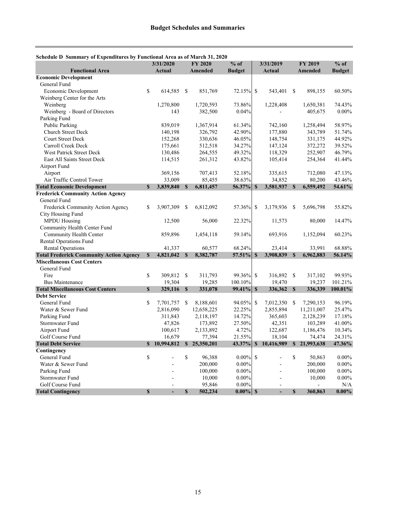| schedule D' summary or Expenditures by Functional Area as or march 91, |                           | 3/31/2020     |               | <b>FY 2020</b> | $%$ of        |               | 3/31/2019      |              | <b>FY 2019</b> | $%$ of        |
|------------------------------------------------------------------------|---------------------------|---------------|---------------|----------------|---------------|---------------|----------------|--------------|----------------|---------------|
| <b>Functional Area</b>                                                 |                           | <b>Actual</b> |               | Amended        | <b>Budget</b> |               | <b>Actual</b>  |              | Amended        | <b>Budget</b> |
| <b>Economic Development</b>                                            |                           |               |               |                |               |               |                |              |                |               |
| General Fund                                                           |                           |               |               |                |               |               |                |              |                |               |
| Economic Development                                                   | \$                        | 614,585       | <sup>\$</sup> | 851,769        | 72.15%        | $\mathbb{S}$  | 543,401 \$     |              | 898,155        | 60.50%        |
| Weinberg Center for the Arts                                           |                           |               |               |                |               |               |                |              |                |               |
| Weinberg                                                               |                           | 1,270,800     |               | 1,720,593      | 73.86%        |               | 1,228,408      |              | 1,650,381      | 74.43%        |
| Weinberg - Board of Directors                                          |                           | 143           |               | 382,500        | 0.04%         |               |                |              | 405,675        | $0.00\%$      |
| Parking Fund                                                           |                           |               |               |                |               |               |                |              |                |               |
| <b>Public Parking</b>                                                  |                           | 839,019       |               | 1,367,914      | 61.34%        |               | 742,160        |              | 1,258,494      | 58.97%        |
| Church Street Deck                                                     |                           | 140,198       |               | 326,792        | 42.90%        |               | 177,880        |              | 343,789        | 51.74%        |
| <b>Court Street Deck</b>                                               |                           | 152,268       |               | 330,636        | 46.05%        |               | 148,754        |              | 331,175        | 44.92%        |
| Carroll Creek Deck                                                     |                           | 175,661       |               | 512,518        | 34.27%        |               | 147,124        |              | 372,272        | 39.52%        |
| West Patrick Street Deck                                               |                           | 130,486       |               | 264,555        | 49.32%        |               | 118,329        |              | 252,907        | 46.79%        |
| East All Saints Street Deck                                            |                           | 114,515       |               | 261,312        | 43.82%        |               | 105,414        |              | 254,364        | 41.44%        |
| Airport Fund                                                           |                           |               |               |                |               |               |                |              |                |               |
| Airport                                                                |                           | 369,156       |               | 707,413        | 52.18%        |               | 335,615        |              | 712,080        | 47.13%        |
| Air Traffic Control Tower                                              |                           | 33,009        |               | 85,455         | 38.63%        |               | 34,852         |              | 80,200         | 43.46%        |
| <b>Total Economic Development</b>                                      | $\mathbf S$               | 3,839,840     | $\mathbf S$   | 6,811,457      | 56.37%        | $\mathbf S$   | 3,581,937      | $\mathbf S$  | 6,559,492      | 54.61%        |
| <b>Frederick Community Action Agency</b>                               |                           |               |               |                |               |               |                |              |                |               |
| General Fund                                                           |                           |               |               |                |               |               |                |              |                |               |
| Frederick Community Action Agency                                      | \$                        | 3,907,309     | S             | 6,812,092      | 57.36%        | \$            | 3,179,936      | -S           | 5,696,798      | 55.82%        |
| City Housing Fund                                                      |                           |               |               |                |               |               |                |              |                |               |
| <b>MPDU Housing</b>                                                    |                           | 12,500        |               | 56,000         | 22.32%        |               | 11,573         |              | 80,000         | 14.47%        |
| Community Health Center Fund                                           |                           |               |               |                |               |               |                |              |                |               |
| Community Health Center                                                |                           | 859,896       |               | 1,454,118      | 59.14%        |               | 693,916        |              | 1,152,094      | 60.23%        |
| <b>Rental Operations Fund</b>                                          |                           |               |               |                |               |               |                |              |                |               |
| <b>Rental Operations</b>                                               |                           | 41,337        |               | 60,577         | 68.24%        |               | 23,414         |              | 33,991         | 68.88%        |
| <b>Total Frederick Community Action Agency</b>                         | \$                        | 4,821,042     | $\mathbf S$   | 8,382,787      | 57.51%        | S             | 3,908,839      | $\mathbf S$  | 6,962,883      | 56.14%        |
| <b>Miscellaneous Cost Centers</b>                                      |                           |               |               |                |               |               |                |              |                |               |
| General Fund                                                           |                           |               |               |                |               |               |                |              |                |               |
| Fire                                                                   | \$                        | 309,812       | $\mathcal{S}$ | 311,793        | 99.36%        | <sup>\$</sup> | 316,892        | S            | 317,102        | 99.93%        |
| <b>Bus Maintenance</b>                                                 |                           | 19,304        |               | 19,285         | 100.10%       |               | 19,470         |              | 19,237         | 101.21%       |
| <b>Total Miscellaneous Cost Centers</b>                                | $\boldsymbol{\mathsf{S}}$ | 329,116       | $\mathbf S$   | 331,078        | 99.41%        | $\mathbf S$   | 336,362 \$     |              | 336,339        | 100.01%       |
| <b>Debt Service</b>                                                    |                           |               |               |                |               |               |                |              |                |               |
| General Fund                                                           | \$                        | 7,701,757     | <sup>\$</sup> | 8,188,601      | 94.05%        | <sup>\$</sup> | 7,012,350      | - S          | 7,290,153      | 96.19%        |
| Water & Sewer Fund                                                     |                           | 2,816,090     |               | 12,658,225     | 22.25%        |               | 2,855,894      |              | 11,211,007     | 25.47%        |
| Parking Fund                                                           |                           | 311,843       |               | 2,118,197      | 14.72%        |               | 365,603        |              | 2,128,239      | 17.18%        |
| Stormwater Fund                                                        |                           | 47,826        |               | 173,892        | 27.50%        |               | 42,351         |              | 103,289        | 41.00%        |
| Airport Fund                                                           |                           | 100,617       |               | 2,133,892      | 4.72%         |               | 122,687        |              | 1,186,476      | 10.34%        |
| Golf Course Fund                                                       |                           | 16,679        |               | 77,394         | 21.55%        |               | 18,104         |              | 74,474         | 24.31%        |
| <b>Total Debt Service</b>                                              |                           | \$10,994,812  | $\mathbf S$   | 25,350,201     | 43.37%        | $\mathbf{s}$  | 10,416,989     |              | \$21,993,638   | 47.36%        |
| Contingency                                                            |                           |               |               |                |               |               |                |              |                |               |
| General Fund                                                           | \$                        |               | \$            | 96,388         | $0.00\%$      | $\mathbf S$   |                | $\mathbb{S}$ | 50,863         | $0.00\%$      |
| Water & Sewer Fund                                                     |                           |               |               | 200,000        | $0.00\%$      |               |                |              | 200,000        | $0.00\%$      |
| Parking Fund                                                           |                           |               |               | 100,000        | $0.00\%$      |               |                |              | 100,000        | $0.00\%$      |
| <b>Stormwater Fund</b>                                                 |                           |               |               | 10,000         | $0.00\%$      |               |                |              | 10,000         | $0.00\%$      |
| Golf Course Fund                                                       |                           |               |               | 95,846         | $0.00\%$      |               |                |              |                | N/A           |
| <b>Total Contingency</b>                                               | \$                        |               | \$            | 502,234        | $0.00\%$ \$   |               | $\overline{a}$ | $\mathbf{s}$ | 360,863        | $0.00\%$      |

#### **Schedule D Summary of Expenditures by Functional Area as of March 31, 2020**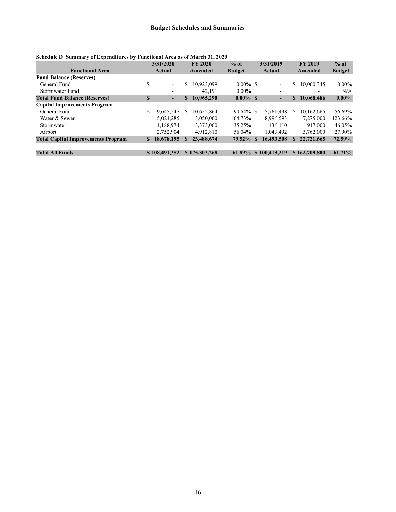|                                           | Schedule D Summary of Expenditures by Functional Area as of March 31, 2020 |                          |          |                |               |          |                          |                |               |               |  |  |
|-------------------------------------------|----------------------------------------------------------------------------|--------------------------|----------|----------------|---------------|----------|--------------------------|----------------|---------------|---------------|--|--|
|                                           |                                                                            | 3/31/2020                |          | <b>FY 2020</b> | $%$ of        |          | 3/31/2019                | <b>FY 2019</b> |               | $%$ of        |  |  |
| <b>Functional Area</b>                    |                                                                            | Actual                   |          | Amended        | <b>Budget</b> | Actual   |                          | Amended        |               | <b>Budget</b> |  |  |
| <b>Fund Balance (Reserves)</b>            |                                                                            |                          |          |                |               |          |                          |                |               |               |  |  |
| General Fund                              | S                                                                          | Ξ.                       | \$       | 10.923.099     | $0.00\%$ \$   |          | ۰                        | S              | 10,060,345    | $0.00\%$      |  |  |
| Stormwater Fund                           |                                                                            | -                        |          | 42.191         | $0.00\%$      |          | $\overline{\phantom{0}}$ |                | -             | N/A           |  |  |
| <b>Total Fund Balance (Reserves)</b>      | $\mathbf S$                                                                | $\overline{\phantom{a}}$ | S        | 10,965,290     | $0.00\%$ S    |          | $\blacksquare$           | <b>S</b>       | 10,068,486    | $0.00\%$      |  |  |
| <b>Capital Improvements Program</b>       |                                                                            |                          |          |                |               |          |                          |                |               |               |  |  |
| General Fund                              | \$                                                                         | 9.645.247                | \$.      | 10.652.864     | $90.54\%$ \$  |          | 5.761.438                | S.             | 10.162,665    | 56.69%        |  |  |
| Water & Sewer                             |                                                                            | 5.024.285                |          | 3,050,000      | 164.73%       |          | 8.996.593                |                | 7,275,000     | 123.66%       |  |  |
| Stormwater                                |                                                                            | 1.188.974                |          | 3,373,000      | 35.25%        |          | 436,110                  |                | 947,000       | 46.05%        |  |  |
| Airport                                   |                                                                            | 2,752,904                |          | 4.912.810      | 56.04%        |          | 1.049.492                |                | 3,762,000     | 27.90%        |  |  |
| <b>Total Capital Improvements Program</b> | S.                                                                         | 18,678,195               | <b>S</b> | 23,488,674     | $79.52\%$     | <b>S</b> | 16,493,508               |                | 22,721,665    | 72.59%        |  |  |
|                                           |                                                                            |                          |          |                |               |          |                          |                |               |               |  |  |
| <b>Total All Funds</b>                    |                                                                            | \$108,491,352            |          | \$175,303,268  | $61.89\%$     |          | \$100,413,219            |                | \$162,709,800 | 61.71%        |  |  |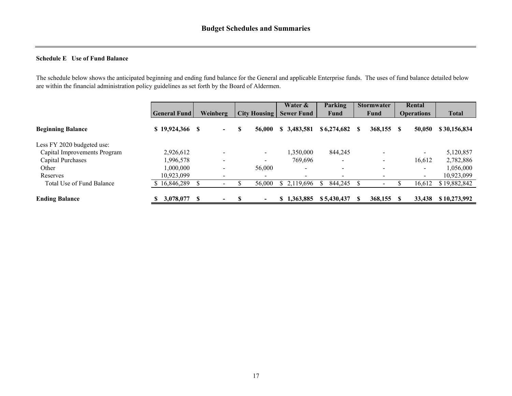#### **Schedule E Use of Fund Balance**

The schedule below shows the anticipated beginning and ending fund balance for the General and applicable Enterprise funds. The uses of fund balance detailed below are within the financial administration policy guidelines as set forth by the Board of Aldermen.

|                              |                      |                                  |                          | Water &                  | <b>Parking</b>           | <b>Stormwater</b>        | Rental                   |              |
|------------------------------|----------------------|----------------------------------|--------------------------|--------------------------|--------------------------|--------------------------|--------------------------|--------------|
|                              | <b>General Fund</b>  | Weinberg                         | <b>City Housing</b>      | <b>Sewer Fund</b>        | Fund                     | Fund                     | <b>Operations</b>        | <b>Total</b> |
| <b>Beginning Balance</b>     | $$19,924,366$ \, $$$ | $\overline{\phantom{0}}$         | S<br>56,000              | \$3,483,581              | \$6,274,682              | 368,155                  | 50,050<br>- \$           | \$30,156,834 |
| Less FY 2020 budgeted use:   |                      |                                  |                          |                          |                          |                          |                          |              |
| Capital Improvements Program | 2,926,612            |                                  | $\blacksquare$           | 1,350,000                | 844,245                  |                          | $\overline{\phantom{0}}$ | 5,120,857    |
| Capital Purchases            | 1,996,578            | $\overline{\phantom{0}}$         | $\overline{\phantom{0}}$ | 769,696                  | $\overline{\phantom{0}}$ | $\overline{\phantom{0}}$ | 16,612                   | 2,782,886    |
| Other                        | 1.000.000            |                                  | 56,000                   | $\overline{\phantom{0}}$ | $\overline{\phantom{0}}$ |                          | ۰.                       | 1,056,000    |
| Reserves                     | 10,923,099           |                                  |                          |                          |                          |                          | ۰                        | 10,923,099   |
| Total Use of Fund Balance    | 16,846,289           |                                  | 56,000                   | \$2,119,696              | 844,245                  |                          | 16,612                   | \$19,882,842 |
| <b>Ending Balance</b>        | 3,078,077            | - \$<br>$\overline{\phantom{0}}$ | $\overline{\phantom{0}}$ | \$1,363,885              | \$5,430,437              | $368,155$ \$             | 33,438                   | \$10,273,992 |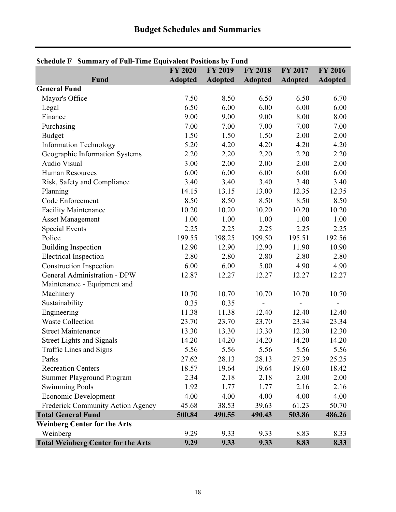j,

| Schedule F Summary of Full-Time Equivalent Positions by Fund |                |                |                |                |                |  |  |  |  |  |  |
|--------------------------------------------------------------|----------------|----------------|----------------|----------------|----------------|--|--|--|--|--|--|
|                                                              | <b>FY 2020</b> | <b>FY 2019</b> | <b>FY 2018</b> | <b>FY 2017</b> | <b>FY 2016</b> |  |  |  |  |  |  |
| Fund                                                         | <b>Adopted</b> | <b>Adopted</b> | <b>Adopted</b> | <b>Adopted</b> | <b>Adopted</b> |  |  |  |  |  |  |
| <b>General Fund</b>                                          |                |                |                |                |                |  |  |  |  |  |  |
| Mayor's Office                                               | 7.50           | 8.50           | 6.50           | 6.50           | 6.70           |  |  |  |  |  |  |
| Legal                                                        | 6.50           | 6.00           | 6.00           | 6.00           | 6.00           |  |  |  |  |  |  |
| Finance                                                      | 9.00           | 9.00           | 9.00           | 8.00           | 8.00           |  |  |  |  |  |  |
| Purchasing                                                   | 7.00           | 7.00           | 7.00           | 7.00           | 7.00           |  |  |  |  |  |  |
| <b>Budget</b>                                                | 1.50           | 1.50           | 1.50           | 2.00           | 2.00           |  |  |  |  |  |  |
| <b>Information Technology</b>                                | 5.20           | 4.20           | 4.20           | 4.20           | 4.20           |  |  |  |  |  |  |
| Geographic Information Systems                               | 2.20           | 2.20           | 2.20           | 2.20           | 2.20           |  |  |  |  |  |  |
| Audio Visual                                                 | 3.00           | 2.00           | 2.00           | 2.00           | 2.00           |  |  |  |  |  |  |
| <b>Human Resources</b>                                       | 6.00           | 6.00           | 6.00           | 6.00           | 6.00           |  |  |  |  |  |  |
| Risk, Safety and Compliance                                  | 3.40           | 3.40           | 3.40           | 3.40           | 3.40           |  |  |  |  |  |  |
| Planning                                                     | 14.15          | 13.15          | 13.00          | 12.35          | 12.35          |  |  |  |  |  |  |
| Code Enforcement                                             | 8.50           | 8.50           | 8.50           | 8.50           | 8.50           |  |  |  |  |  |  |
| <b>Facility Maintenance</b>                                  | 10.20          | 10.20          | 10.20          | 10.20          | 10.20          |  |  |  |  |  |  |
| <b>Asset Management</b>                                      | 1.00           | 1.00           | 1.00           | 1.00           | 1.00           |  |  |  |  |  |  |
| <b>Special Events</b>                                        | 2.25           | 2.25           | 2.25           | 2.25           | 2.25           |  |  |  |  |  |  |
| Police                                                       | 199.55         | 198.25         | 199.50         | 195.51         | 192.56         |  |  |  |  |  |  |
| <b>Building Inspection</b>                                   | 12.90          | 12.90          | 12.90          | 11.90          | 10.90          |  |  |  |  |  |  |
| <b>Electrical Inspection</b>                                 | 2.80           | 2.80           | 2.80           | 2.80           | 2.80           |  |  |  |  |  |  |
| <b>Construction Inspection</b>                               | 6.00           | 6.00           | 5.00           | 4.90           | 4.90           |  |  |  |  |  |  |
| General Administration - DPW                                 | 12.87          | 12.27          | 12.27          | 12.27          | 12.27          |  |  |  |  |  |  |
| Maintenance - Equipment and                                  |                |                |                |                |                |  |  |  |  |  |  |
| Machinery                                                    | 10.70          | 10.70          | 10.70          | 10.70          | 10.70          |  |  |  |  |  |  |
| Sustainability                                               | 0.35           | 0.35           |                |                |                |  |  |  |  |  |  |
| Engineering                                                  | 11.38          | 11.38          | 12.40          | 12.40          | 12.40          |  |  |  |  |  |  |
| <b>Waste Collection</b>                                      | 23.70          | 23.70          | 23.70          | 23.34          | 23.34          |  |  |  |  |  |  |
| <b>Street Maintenance</b>                                    | 13.30          | 13.30          | 13.30          | 12.30          | 12.30          |  |  |  |  |  |  |
| <b>Street Lights and Signals</b>                             | 14.20          | 14.20          | 14.20          | 14.20          | 14.20          |  |  |  |  |  |  |
| Traffic Lines and Signs                                      | 5.56           | 5.56           | 5.56           | 5.56           | 5.56           |  |  |  |  |  |  |
| Parks                                                        | 27.62          | 28.13          | 28.13          | 27.39          | 25.25          |  |  |  |  |  |  |
| <b>Recreation Centers</b>                                    | 18.57          | 19.64          | 19.64          | 19.60          | 18.42          |  |  |  |  |  |  |
| Summer Playground Program                                    | 2.34           | 2.18           | 2.18           | 2.00           | 2.00           |  |  |  |  |  |  |
| <b>Swimming Pools</b>                                        | 1.92           | 1.77           | 1.77           | 2.16           | 2.16           |  |  |  |  |  |  |
| <b>Economic Development</b>                                  | 4.00           | 4.00           | 4.00           | 4.00           | 4.00           |  |  |  |  |  |  |
| Frederick Community Action Agency                            | 45.68          | 38.53          | 39.63          | 61.23          | 50.70          |  |  |  |  |  |  |
| <b>Total General Fund</b>                                    | 500.84         | 490.55         | 490.43         | 503.86         | 486.26         |  |  |  |  |  |  |
| <b>Weinberg Center for the Arts</b>                          |                |                |                |                |                |  |  |  |  |  |  |
| Weinberg                                                     | 9.29           | 9.33           | 9.33           | 8.83           | 8.33           |  |  |  |  |  |  |
| <b>Total Weinberg Center for the Arts</b>                    | 9.29           | 9.33           | 9.33           | 8.83           | 8.33           |  |  |  |  |  |  |

## **Schedule F Summary of Full-Time Equivalent Positions by Fund**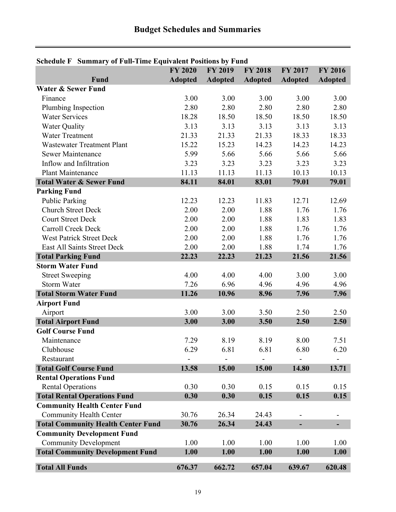| Schedule F Summary of Fun-Thile Equivalent Fositions by Fund |                |                |                |                |                |
|--------------------------------------------------------------|----------------|----------------|----------------|----------------|----------------|
|                                                              | <b>FY 2020</b> | <b>FY 2019</b> | <b>FY 2018</b> | <b>FY 2017</b> | <b>FY 2016</b> |
| Fund                                                         | <b>Adopted</b> | <b>Adopted</b> | <b>Adopted</b> | <b>Adopted</b> | <b>Adopted</b> |
| <b>Water &amp; Sewer Fund</b>                                |                |                |                |                |                |
| Finance                                                      | 3.00           | 3.00           | 3.00           | 3.00           | 3.00           |
| Plumbing Inspection                                          | 2.80           | 2.80           | 2.80           | 2.80           | 2.80           |
| <b>Water Services</b>                                        | 18.28          | 18.50          | 18.50          | 18.50          | 18.50          |
| <b>Water Quality</b>                                         | 3.13           | 3.13           | 3.13           | 3.13           | 3.13           |
| <b>Water Treatment</b>                                       | 21.33          | 21.33          | 21.33          | 18.33          | 18.33          |
| <b>Wastewater Treatment Plant</b>                            | 15.22          | 15.23          | 14.23          | 14.23          | 14.23          |
| Sewer Maintenance                                            | 5.99           | 5.66           | 5.66           | 5.66           | 5.66           |
| Inflow and Infiltration                                      | 3.23           | 3.23           | 3.23           | 3.23           | 3.23           |
| <b>Plant Maintenance</b>                                     | 11.13          | 11.13          | 11.13          | 10.13          | 10.13          |
| <b>Total Water &amp; Sewer Fund</b>                          | 84.11          | 84.01          | 83.01          | 79.01          | 79.01          |
| <b>Parking Fund</b>                                          |                |                |                |                |                |
| <b>Public Parking</b>                                        | 12.23          | 12.23          | 11.83          | 12.71          | 12.69          |
| <b>Church Street Deck</b>                                    | 2.00           | 2.00           | 1.88           | 1.76           | 1.76           |
| <b>Court Street Deck</b>                                     | 2.00           | 2.00           | 1.88           | 1.83           | 1.83           |
| Carroll Creek Deck                                           | 2.00           | 2.00           | 1.88           | 1.76           | 1.76           |
| <b>West Patrick Street Deck</b>                              | 2.00           | 2.00           | 1.88           | 1.76           | 1.76           |
| East All Saints Street Deck                                  | 2.00           | 2.00           | 1.88           | 1.74           | 1.76           |
| <b>Total Parking Fund</b>                                    | 22.23          | 22.23          | 21.23          | 21.56          | 21.56          |
| <b>Storm Water Fund</b>                                      |                |                |                |                |                |
| <b>Street Sweeping</b>                                       | 4.00           | 4.00           | 4.00           | 3.00           | 3.00           |
| <b>Storm Water</b>                                           | 7.26           | 6.96           | 4.96           | 4.96           | 4.96           |
| <b>Total Storm Water Fund</b>                                | 11.26          | 10.96          | 8.96           | 7.96           | 7.96           |
| <b>Airport Fund</b>                                          |                |                |                |                |                |
| Airport                                                      | 3.00           | 3.00           | 3.50           | 2.50           | 2.50           |
| <b>Total Airport Fund</b>                                    | 3.00           | 3.00           | 3.50           | 2.50           | 2.50           |
| <b>Golf Course Fund</b>                                      |                |                |                |                |                |
| Maintenance                                                  | 7.29           | 8.19           | 8.19           | 8.00           | 7.51           |
| Clubhouse                                                    | 6.29           | 6.81           | 6.81           | 6.80           | 6.20           |
| Restaurant                                                   |                |                |                |                |                |
| <b>Total Golf Course Fund</b>                                | 13.58          | 15.00          | 15.00          | 14.80          | 13.71          |
| <b>Rental Operations Fund</b>                                |                |                |                |                |                |
| <b>Rental Operations</b>                                     | 0.30           | 0.30           | 0.15           | 0.15           | 0.15           |
| <b>Total Rental Operations Fund</b>                          | 0.30           | 0.30           | 0.15           | 0.15           | 0.15           |
| <b>Community Health Center Fund</b>                          |                |                |                |                |                |
| <b>Community Health Center</b>                               | 30.76          | 26.34          | 24.43          |                |                |
|                                                              |                |                |                |                |                |
| <b>Total Community Health Center Fund</b>                    | 30.76          | 26.34          | 24.43          | L.             |                |
| <b>Community Development Fund</b>                            |                |                |                |                |                |
| <b>Community Development</b>                                 | 1.00           | 1.00           | 1.00           | 1.00           | 1.00           |
| <b>Total Community Development Fund</b>                      | 1.00           | 1.00           | 1.00           | 1.00           | 1.00           |
| <b>Total All Funds</b>                                       | 676.37         | 662.72         | 657.04         | 639.67         | 620.48         |

## **Schedule F Summary of Full-Time Equivalent Positions by Fund**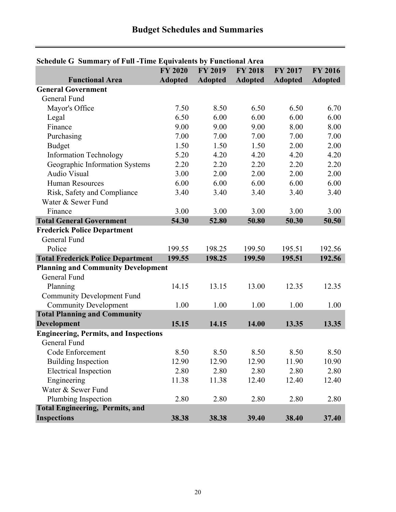| Schedule G Summary of Full - Filme Equivalents by Functional Area |                |                |                |                |                |
|-------------------------------------------------------------------|----------------|----------------|----------------|----------------|----------------|
|                                                                   | <b>FY 2020</b> | <b>FY 2019</b> | <b>FY 2018</b> | <b>FY 2017</b> | <b>FY 2016</b> |
| <b>Functional Area</b>                                            | <b>Adopted</b> | <b>Adopted</b> | <b>Adopted</b> | <b>Adopted</b> | <b>Adopted</b> |
| <b>General Government</b>                                         |                |                |                |                |                |
| General Fund                                                      |                |                |                |                |                |
| Mayor's Office                                                    | 7.50           | 8.50           | 6.50           | 6.50           | 6.70           |
| Legal                                                             | 6.50           | 6.00           | 6.00           | 6.00           | 6.00           |
| Finance                                                           | 9.00           | 9.00           | 9.00           | 8.00           | 8.00           |
| Purchasing                                                        | 7.00           | 7.00           | 7.00           | 7.00           | 7.00           |
| <b>Budget</b>                                                     | 1.50           | 1.50           | 1.50           | 2.00           | 2.00           |
| <b>Information Technology</b>                                     | 5.20           | 4.20           | 4.20           | 4.20           | 4.20           |
| Geographic Information Systems                                    | 2.20           | 2.20           | 2.20           | 2.20           | 2.20           |
| <b>Audio Visual</b>                                               | 3.00           | 2.00           | 2.00           | 2.00           | 2.00           |
| <b>Human Resources</b>                                            | 6.00           | 6.00           | 6.00           | 6.00           | 6.00           |
| Risk, Safety and Compliance                                       | 3.40           | 3.40           | 3.40           | 3.40           | 3.40           |
| Water & Sewer Fund                                                |                |                |                |                |                |
| Finance                                                           | 3.00           | 3.00           | 3.00           | 3.00           | 3.00           |
| <b>Total General Government</b>                                   | 54.30          | 52.80          | 50.80          | 50.30          | 50.50          |
| <b>Frederick Police Department</b>                                |                |                |                |                |                |
| General Fund                                                      |                |                |                |                |                |
| Police                                                            | 199.55         | 198.25         | 199.50         | 195.51         | 192.56         |
| <b>Total Frederick Police Department</b>                          | 199.55         | 198.25         | 199.50         | 195.51         | 192.56         |
| <b>Planning and Community Development</b>                         |                |                |                |                |                |
| General Fund                                                      |                |                |                |                |                |
| Planning                                                          | 14.15          | 13.15          | 13.00          | 12.35          | 12.35          |
| <b>Community Development Fund</b>                                 |                |                |                |                |                |
| <b>Community Development</b>                                      | 1.00           | 1.00           | 1.00           | 1.00           | 1.00           |
| <b>Total Planning and Community</b>                               |                |                |                |                |                |
| <b>Development</b>                                                | 15.15          | 14.15          | 14.00          | 13.35          | 13.35          |
| <b>Engineering, Permits, and Inspections</b>                      |                |                |                |                |                |
| General Fund                                                      |                |                |                |                |                |
| Code Enforcement                                                  | 8.50           | 8.50           | 8.50           | 8.50           | 8.50           |
| <b>Building Inspection</b>                                        | 12.90          | 12.90          | 12.90          | 11.90          | 10.90          |
| <b>Electrical Inspection</b>                                      | 2.80           | 2.80           | 2.80           | 2.80           | 2.80           |
| Engineering                                                       | 11.38          | 11.38          | 12.40          | 12.40          | 12.40          |
| Water & Sewer Fund                                                |                |                |                |                |                |
| Plumbing Inspection                                               | 2.80           | 2.80           | 2.80           | 2.80           | 2.80           |
| <b>Total Engineering, Permits, and</b>                            |                |                |                |                |                |
| <b>Inspections</b>                                                | 38.38          | 38.38          | 39.40          | 38.40          | 37.40          |

## **Schedule G Summary of Full -Time Equivalents by Functional Area**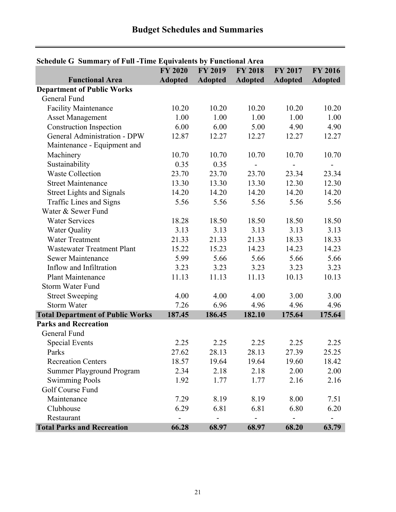| Schedule G Summary of Full - Fine Equivalents by Functional Area | <b>FY 2020</b> | <b>FY 2019</b> | <b>FY 2018</b> |                          | <b>FY 2016</b>           |
|------------------------------------------------------------------|----------------|----------------|----------------|--------------------------|--------------------------|
| <b>Functional Area</b>                                           | <b>Adopted</b> |                |                | FY 2017                  |                          |
|                                                                  |                | <b>Adopted</b> | <b>Adopted</b> | <b>Adopted</b>           | <b>Adopted</b>           |
| <b>Department of Public Works</b><br>General Fund                |                |                |                |                          |                          |
|                                                                  |                |                |                |                          |                          |
| <b>Facility Maintenance</b>                                      | 10.20          | 10.20          | 10.20          | 10.20                    | 10.20                    |
| <b>Asset Management</b>                                          | 1.00           | 1.00           | 1.00           | 1.00                     | 1.00                     |
| <b>Construction Inspection</b>                                   | 6.00           | 6.00           | 5.00           | 4.90                     | 4.90                     |
| <b>General Administration - DPW</b>                              | 12.87          | 12.27          | 12.27          | 12.27                    | 12.27                    |
| Maintenance - Equipment and                                      |                |                |                |                          |                          |
| Machinery                                                        | 10.70          | 10.70          | 10.70          | 10.70                    | 10.70                    |
| Sustainability                                                   | 0.35           | 0.35           |                | $\overline{a}$           | $\overline{\phantom{m}}$ |
| <b>Waste Collection</b>                                          | 23.70          | 23.70          | 23.70          | 23.34                    | 23.34                    |
| <b>Street Maintenance</b>                                        | 13.30          | 13.30          | 13.30          | 12.30                    | 12.30                    |
| <b>Street Lights and Signals</b>                                 | 14.20          | 14.20          | 14.20          | 14.20                    | 14.20                    |
| Traffic Lines and Signs                                          | 5.56           | 5.56           | 5.56           | 5.56                     | 5.56                     |
| Water & Sewer Fund                                               |                |                |                |                          |                          |
| <b>Water Services</b>                                            | 18.28          | 18.50          | 18.50          | 18.50                    | 18.50                    |
| <b>Water Quality</b>                                             | 3.13           | 3.13           | 3.13           | 3.13                     | 3.13                     |
| <b>Water Treatment</b>                                           | 21.33          | 21.33          | 21.33          | 18.33                    | 18.33                    |
| <b>Wastewater Treatment Plant</b>                                | 15.22          | 15.23          | 14.23          | 14.23                    | 14.23                    |
| <b>Sewer Maintenance</b>                                         | 5.99           | 5.66           | 5.66           | 5.66                     | 5.66                     |
| Inflow and Infiltration                                          | 3.23           | 3.23           | 3.23           | 3.23                     | 3.23                     |
| <b>Plant Maintenance</b>                                         | 11.13          | 11.13          | 11.13          | 10.13                    | 10.13                    |
| <b>Storm Water Fund</b>                                          |                |                |                |                          |                          |
| <b>Street Sweeping</b>                                           | 4.00           | 4.00           | 4.00           | 3.00                     | 3.00                     |
| <b>Storm Water</b>                                               | 7.26           | 6.96           | 4.96           | 4.96                     | 4.96                     |
| <b>Total Department of Public Works</b>                          | 187.45         | 186.45         | 182.10         | 175.64                   | 175.64                   |
| <b>Parks and Recreation</b>                                      |                |                |                |                          |                          |
| General Fund                                                     |                |                |                |                          |                          |
| <b>Special Events</b>                                            | 2.25           | 2.25           | 2.25           | 2.25                     | 2.25                     |
| Parks                                                            | 27.62          | 28.13          | 28.13          | 27.39                    | 25.25                    |
| <b>Recreation Centers</b>                                        | 18.57          | 19.64          | 19.64          | 19.60                    | 18.42                    |
| <b>Summer Playground Program</b>                                 | 2.34           | 2.18           | 2.18           | 2.00                     | 2.00                     |
| <b>Swimming Pools</b>                                            | 1.92           | 1.77           | 1.77           | 2.16                     | 2.16                     |
| Golf Course Fund                                                 |                |                |                |                          |                          |
| Maintenance                                                      | 7.29           | 8.19           | 8.19           | 8.00                     | 7.51                     |
| Clubhouse                                                        | 6.29           | 6.81           | 6.81           | 6.80                     | 6.20                     |
| Restaurant                                                       |                | -              |                | $\overline{\phantom{0}}$ |                          |
| <b>Total Parks and Recreation</b>                                | 66.28          | 68.97          | 68.97          | 68.20                    | 63.79                    |

## **Schedule G Summary of Full -Time Equivalents by Functional Area**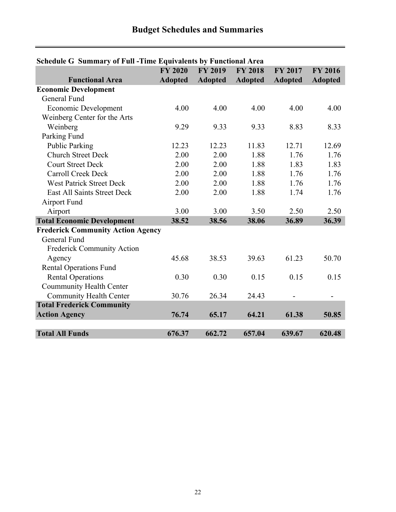| Schedule G Summary of Full - Fille Equivalents by Functional Area | <b>FY 2020</b> | <b>FY 2019</b> | <b>FY 2018</b> | <b>FY 2017</b> | <b>FY 2016</b> |
|-------------------------------------------------------------------|----------------|----------------|----------------|----------------|----------------|
| <b>Functional Area</b>                                            | <b>Adopted</b> | <b>Adopted</b> | <b>Adopted</b> | <b>Adopted</b> | <b>Adopted</b> |
| <b>Economic Development</b>                                       |                |                |                |                |                |
| General Fund                                                      |                |                |                |                |                |
| <b>Economic Development</b>                                       | 4.00           | 4.00           | 4.00           | 4.00           | 4.00           |
| Weinberg Center for the Arts                                      |                |                |                |                |                |
| Weinberg                                                          | 9.29           | 9.33           | 9.33           | 8.83           | 8.33           |
| Parking Fund                                                      |                |                |                |                |                |
| <b>Public Parking</b>                                             | 12.23          | 12.23          | 11.83          | 12.71          | 12.69          |
| <b>Church Street Deck</b>                                         | 2.00           | 2.00           | 1.88           | 1.76           | 1.76           |
|                                                                   |                |                |                |                |                |
| <b>Court Street Deck</b>                                          | 2.00           | 2.00           | 1.88           | 1.83           | 1.83           |
| <b>Carroll Creek Deck</b>                                         | 2.00           | 2.00           | 1.88           | 1.76           | 1.76           |
| <b>West Patrick Street Deck</b>                                   | 2.00           | 2.00           | 1.88           | 1.76           | 1.76           |
| <b>East All Saints Street Deck</b>                                | 2.00           | 2.00           | 1.88           | 1.74           | 1.76           |
| Airport Fund                                                      |                |                |                |                |                |
| Airport                                                           | 3.00           | 3.00           | 3.50           | 2.50           | 2.50           |
| <b>Total Economic Development</b>                                 | 38.52          | 38.56          | 38.06          | 36.89          | 36.39          |
| <b>Frederick Community Action Agency</b>                          |                |                |                |                |                |
| General Fund                                                      |                |                |                |                |                |
| <b>Frederick Community Action</b>                                 |                |                |                |                |                |
| Agency                                                            | 45.68          | 38.53          | 39.63          | 61.23          | 50.70          |
| <b>Rental Operations Fund</b>                                     |                |                |                |                |                |
| <b>Rental Operations</b>                                          | 0.30           | 0.30           | 0.15           | 0.15           | 0.15           |
| Coummunity Health Center                                          |                |                |                |                |                |
| <b>Community Health Center</b>                                    | 30.76          | 26.34          | 24.43          |                |                |
| <b>Total Frederick Community</b>                                  |                |                |                |                |                |
| <b>Action Agency</b>                                              | 76.74          | 65.17          | 64.21          | 61.38          | 50.85          |
|                                                                   |                |                |                |                |                |
| <b>Total All Funds</b>                                            | 676.37         | 662.72         | 657.04         | 639.67         | 620.48         |

## **Schedule G Summary of Full -Time Equivalents by Functional Area**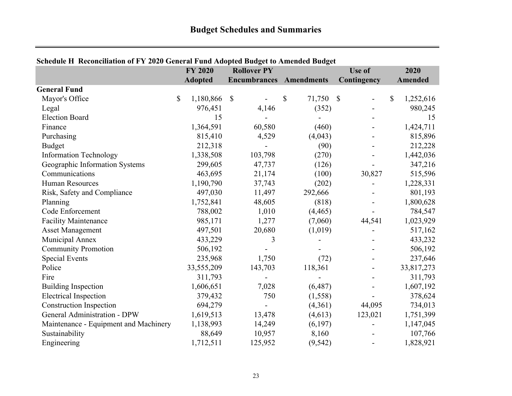|                                       |              | <b>FY 2020</b> | <b>Rollover PY</b>             |                 | Use of      | 2020            |
|---------------------------------------|--------------|----------------|--------------------------------|-----------------|-------------|-----------------|
|                                       |              | <b>Adopted</b> | <b>Encumbrances</b> Amendments |                 | Contingency | Amended         |
| <b>General Fund</b>                   |              |                |                                |                 |             |                 |
| Mayor's Office                        | $\mathbb{S}$ | 1,180,866      | $\mathcal{S}$                  | \$<br>71,750 \$ |             | \$<br>1,252,616 |
| Legal                                 |              | 976,451        | 4,146                          | (352)           |             | 980,245         |
| <b>Election Board</b>                 |              | 15             |                                |                 |             | 15              |
| Finance                               |              | 1,364,591      | 60,580                         | (460)           |             | 1,424,711       |
| Purchasing                            |              | 815,410        | 4,529                          | (4,043)         |             | 815,896         |
| <b>Budget</b>                         |              | 212,318        |                                | (90)            |             | 212,228         |
| <b>Information Technology</b>         |              | 1,338,508      | 103,798                        | (270)           |             | 1,442,036       |
| Geographic Information Systems        |              | 299,605        | 47,737                         | (126)           |             | 347,216         |
| Communications                        |              | 463,695        | 21,174                         | (100)           | 30,827      | 515,596         |
| <b>Human Resources</b>                |              | 1,190,790      | 37,743                         | (202)           |             | 1,228,331       |
| Risk, Safety and Compliance           |              | 497,030        | 11,497                         | 292,666         |             | 801,193         |
| Planning                              |              | 1,752,841      | 48,605                         | (818)           |             | 1,800,628       |
| Code Enforcement                      |              | 788,002        | 1,010                          | (4, 465)        |             | 784,547         |
| <b>Facility Maintenance</b>           |              | 985,171        | 1,277                          | (7,060)         | 44,541      | 1,023,929       |
| <b>Asset Management</b>               |              | 497,501        | 20,680                         | (1,019)         |             | 517,162         |
| Municipal Annex                       |              | 433,229        | 3                              |                 |             | 433,232         |
| <b>Community Promotion</b>            |              | 506,192        |                                |                 |             | 506,192         |
| <b>Special Events</b>                 |              | 235,968        | 1,750                          | (72)            |             | 237,646         |
| Police                                |              | 33,555,209     | 143,703                        | 118,361         |             | 33,817,273      |
| Fire                                  |              | 311,793        |                                |                 |             | 311,793         |
| <b>Building Inspection</b>            |              | 1,606,651      | 7,028                          | (6,487)         |             | 1,607,192       |
| <b>Electrical Inspection</b>          |              | 379,432        | 750                            | (1,558)         |             | 378,624         |
| <b>Construction Inspection</b>        |              | 694,279        |                                | (4,361)         | 44,095      | 734,013         |
| <b>General Administration - DPW</b>   |              | 1,619,513      | 13,478                         | (4,613)         | 123,021     | 1,751,399       |
| Maintenance - Equipment and Machinery |              | 1,138,993      | 14,249                         | (6,197)         |             | 1,147,045       |
| Sustainability                        |              | 88,649         | 10,957                         | 8,160           |             | 107,766         |
| Engineering                           |              | 1,712,511      | 125,952                        | (9, 542)        |             | 1,828,921       |

## **Schedule H Reconciliation of FY 2020 General Fund Adopted Budget to Amended Budget**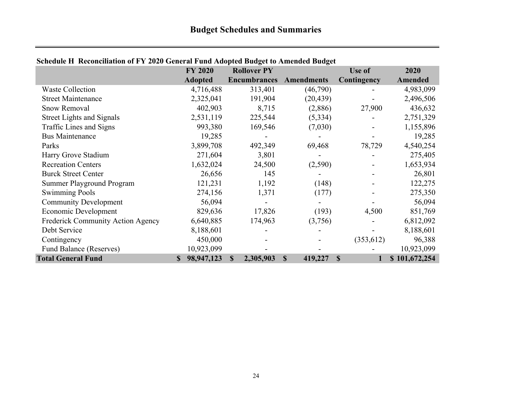|                                   | <b>FY 2020</b>            | 01 1 1 2020 Seneral I and Haopted Dauger to Thilehaed Dauger<br><b>Rollover PY</b> |                        | Use of      | 2020          |
|-----------------------------------|---------------------------|------------------------------------------------------------------------------------|------------------------|-------------|---------------|
|                                   | <b>Adopted</b>            | <b>Encumbrances</b>                                                                | <b>Amendments</b>      | Contingency | Amended       |
| <b>Waste Collection</b>           | 4,716,488                 | 313,401                                                                            | (46,790)               |             | 4,983,099     |
| <b>Street Maintenance</b>         | 2,325,041                 | 191,904                                                                            | (20, 439)              |             | 2,496,506     |
| Snow Removal                      | 402,903                   | 8,715                                                                              | (2,886)                | 27,900      | 436,632       |
| <b>Street Lights and Signals</b>  | 2,531,119                 | 225,544                                                                            | (5, 334)               |             | 2,751,329     |
| Traffic Lines and Signs           | 993,380                   | 169,546                                                                            | (7,030)                |             | 1,155,896     |
| <b>Bus Maintenance</b>            | 19,285                    |                                                                                    |                        |             | 19,285        |
| Parks                             | 3,899,708                 | 492,349                                                                            | 69,468                 | 78,729      | 4,540,254     |
| Harry Grove Stadium               | 271,604                   | 3,801                                                                              |                        |             | 275,405       |
| <b>Recreation Centers</b>         | 1,632,024                 | 24,500                                                                             | (2,590)                |             | 1,653,934     |
| <b>Burck Street Center</b>        | 26,656                    | 145                                                                                |                        |             | 26,801        |
| Summer Playground Program         | 121,231                   | 1,192                                                                              | (148)                  |             | 122,275       |
| <b>Swimming Pools</b>             | 274,156                   | 1,371                                                                              | (177)                  |             | 275,350       |
| <b>Community Development</b>      | 56,094                    |                                                                                    |                        |             | 56,094        |
| <b>Economic Development</b>       | 829,636                   | 17,826                                                                             | (193)                  | 4,500       | 851,769       |
| Frederick Community Action Agency | 6,640,885                 | 174,963                                                                            | (3,756)                |             | 6,812,092     |
| Debt Service                      | 8,188,601                 |                                                                                    |                        |             | 8,188,601     |
| Contingency                       | 450,000                   |                                                                                    |                        | (353, 612)  | 96,388        |
| <b>Fund Balance (Reserves)</b>    | 10,923,099                |                                                                                    |                        |             | 10,923,099    |
| <b>Total General Fund</b>         | 98,947,123<br>$\mathbf S$ | $\mathbf S$<br>2,305,903                                                           | $\mathbf S$<br>419,227 | $\mathbf S$ | \$101,672,254 |

## **Schedule H Reconciliation of FY 2020 General Fund Adopted Budget to Amended Budget**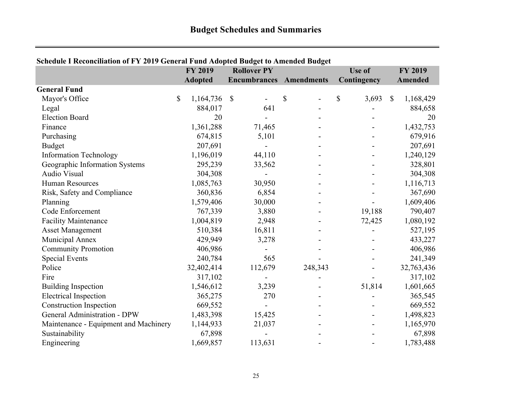| Schedule I Reconciliation of FY 2019 General Fund Adopted Budget to Amended Budget | <b>FY 2019</b>  |               | <b>Rollover PY</b>  |            | Use of      |              | <b>FY 2019</b> |
|------------------------------------------------------------------------------------|-----------------|---------------|---------------------|------------|-------------|--------------|----------------|
|                                                                                    | <b>Adopted</b>  |               | <b>Encumbrances</b> | Amendments | Contingency |              | <b>Amended</b> |
| <b>General Fund</b>                                                                |                 |               |                     |            |             |              |                |
| Mayor's Office                                                                     | \$<br>1,164,736 | $\mathcal{S}$ |                     | \$         | \$<br>3,693 | $\mathbb{S}$ | 1,168,429      |
| Legal                                                                              | 884,017         |               | 641                 |            |             |              | 884,658        |
| <b>Election Board</b>                                                              | 20              |               |                     |            |             |              | 20             |
| Finance                                                                            | 1,361,288       |               | 71,465              |            |             |              | 1,432,753      |
| Purchasing                                                                         | 674,815         |               | 5,101               |            |             |              | 679,916        |
| <b>Budget</b>                                                                      | 207,691         |               |                     |            |             |              | 207,691        |
| <b>Information Technology</b>                                                      | 1,196,019       |               | 44,110              |            |             |              | 1,240,129      |
| Geographic Information Systems                                                     | 295,239         |               | 33,562              |            |             |              | 328,801        |
| Audio Visual                                                                       | 304,308         |               |                     |            |             |              | 304,308        |
| <b>Human Resources</b>                                                             | 1,085,763       |               | 30,950              |            |             |              | 1,116,713      |
| Risk, Safety and Compliance                                                        | 360,836         |               | 6,854               |            |             |              | 367,690        |
| Planning                                                                           | 1,579,406       |               | 30,000              |            |             |              | 1,609,406      |
| Code Enforcement                                                                   | 767,339         |               | 3,880               |            | 19,188      |              | 790,407        |
| <b>Facility Maintenance</b>                                                        | 1,004,819       |               | 2,948               |            | 72,425      |              | 1,080,192      |
| <b>Asset Management</b>                                                            | 510,384         |               | 16,811              |            |             |              | 527,195        |
| Municipal Annex                                                                    | 429,949         |               | 3,278               |            |             |              | 433,227        |
| <b>Community Promotion</b>                                                         | 406,986         |               |                     |            |             |              | 406,986        |
| <b>Special Events</b>                                                              | 240,784         |               | 565                 |            |             |              | 241,349        |
| Police                                                                             | 32,402,414      |               | 112,679             | 248,343    |             |              | 32,763,436     |
| Fire                                                                               | 317,102         |               |                     |            |             |              | 317,102        |
| <b>Building Inspection</b>                                                         | 1,546,612       |               | 3,239               |            | 51,814      |              | 1,601,665      |
| <b>Electrical Inspection</b>                                                       | 365,275         |               | 270                 |            |             |              | 365,545        |
| <b>Construction Inspection</b>                                                     | 669,552         |               |                     |            |             |              | 669,552        |
| <b>General Administration - DPW</b>                                                | 1,483,398       |               | 15,425              |            |             |              | 1,498,823      |
| Maintenance - Equipment and Machinery                                              | 1,144,933       |               | 21,037              |            |             |              | 1,165,970      |
| Sustainability                                                                     | 67,898          |               |                     |            |             |              | 67,898         |
| Engineering                                                                        | 1,669,857       |               | 113,631             |            |             |              | 1,783,488      |

## **Schedule I Reconciliation of FY 2019 General Fund Adopted Budget to Amended Budget**